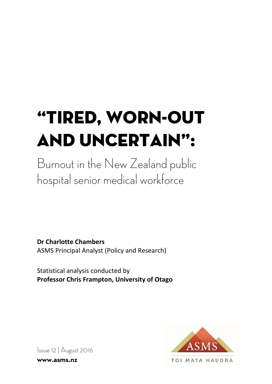# "Tired, worn-out and uncertain":

Burnout in the New Zealand public hospital senior medical workforce

**Dr Charlotte Chambers**  ASMS Principal Analyst (Policy and Research)

Statistical analysis conducted by **Professor Chris Frampton, University of Otago**



Issue 12 | August 2016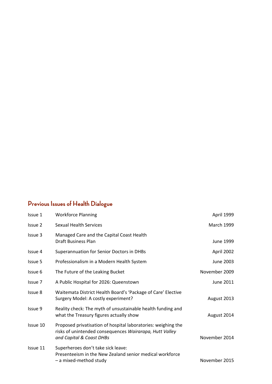# **Previous Issues of Health Dialogue**

| Issue 1  | <b>Workforce Planning</b>                                                                                                                            | April 1999        |
|----------|------------------------------------------------------------------------------------------------------------------------------------------------------|-------------------|
| Issue 2  | Sexual Health Services                                                                                                                               | <b>March 1999</b> |
| Issue 3  | Managed Care and the Capital Coast Health<br><b>Draft Business Plan</b>                                                                              | June 1999         |
| Issue 4  | Superannuation for Senior Doctors in DHBs                                                                                                            | April 2002        |
| Issue 5  | Professionalism in a Modern Health System                                                                                                            | June 2003         |
| Issue 6  | The Future of the Leaking Bucket                                                                                                                     | November 2009     |
| Issue 7  | A Public Hospital for 2026: Queenstown                                                                                                               | June 2011         |
| Issue 8  | Waitemata District Health Board's 'Package of Care' Elective<br>Surgery Model: A costly experiment?                                                  | August 2013       |
| Issue 9  | Reality check: The myth of unsustainable health funding and<br>what the Treasury figures actually show                                               | August 2014       |
| Issue 10 | Proposed privatisation of hospital laboratories: weighing the<br>risks of unintended consequences Wairarapa, Hutt Valley<br>and Capital & Coast DHBs | November 2014     |
| Issue 11 | Superheroes don't take sick leave:<br>Presenteeism in the New Zealand senior medical workforce<br>- a mixed-method study                             | November 2015     |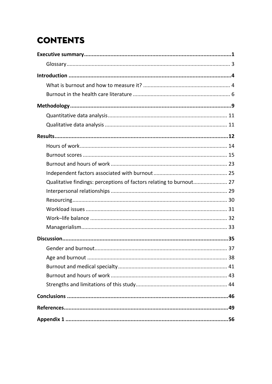# **CONTENTS**

| Qualitative findings: perceptions of factors relating to burnout 27 |  |
|---------------------------------------------------------------------|--|
|                                                                     |  |
|                                                                     |  |
|                                                                     |  |
|                                                                     |  |
|                                                                     |  |
|                                                                     |  |
|                                                                     |  |
|                                                                     |  |
|                                                                     |  |
|                                                                     |  |
|                                                                     |  |
|                                                                     |  |
|                                                                     |  |
|                                                                     |  |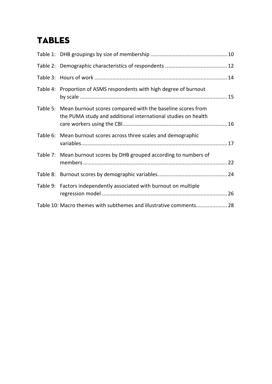# TABLES

| Table 4: Proportion of ASMS respondents with high degree of burnout                                                                  |  |
|--------------------------------------------------------------------------------------------------------------------------------------|--|
| Table 5: Mean burnout scores compared with the baseline scores from<br>the PUMA study and additional international studies on health |  |
| Table 6: Mean burnout scores across three scales and demographic                                                                     |  |
| Table 7: Mean burnout scores by DHB grouped according to numbers of                                                                  |  |
|                                                                                                                                      |  |
| Table 9: Factors independently associated with burnout on multiple                                                                   |  |
| Table 10: Macro themes with subthemes and illustrative comments 28                                                                   |  |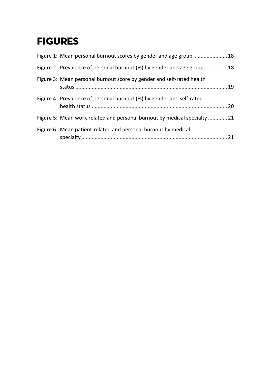# FIGURES

| Figure 1: Mean personal burnout scores by gender and age group  18        |
|---------------------------------------------------------------------------|
| Figure 2: Prevalence of personal burnout (%) by gender and age group 18   |
| Figure 3: Mean personal burnout score by gender and self-rated health     |
| Figure 4: Prevalence of personal burnout (%) by gender and self-rated     |
| Figure 5: Mean work-related and personal burnout by medical specialty  21 |
| Figure 6: Mean patient-related and personal burnout by medical            |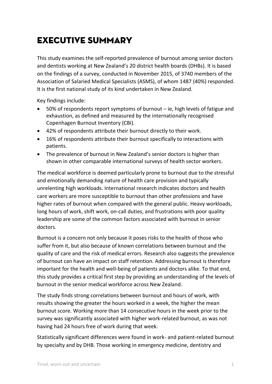# Executive summary

This study examines the self‐reported prevalence of burnout among senior doctors and dentists working at New Zealand's 20 district health boards (DHBs). It is based on the findings of a survey, conducted in November 2015, of 3740 members of the Association of Salaried Medical Specialists (ASMS), of whom 1487 (40%) responded. It is the first national study of its kind undertaken in New Zealand.

Key findings include:

- 50% of respondents report symptoms of burnout ie, high levels of fatigue and exhaustion, as defined and measured by the internationally recognised Copenhagen Burnout Inventory (CBI).
- 42% of respondents attribute their burnout directly to their work.
- 16% of respondents attribute their burnout specifically to interactions with patients.
- The prevalence of burnout in New Zealand's senior doctors is higher than shown in other comparable international surveys of health sector workers.

The medical workforce is deemed particularly prone to burnout due to the stressful and emotionally demanding nature of health care provision and typically unrelenting high workloads. International research indicates doctors and health care workers are more susceptible to burnout than other professions and have higher rates of burnout when compared with the general public. Heavy workloads, long hours of work, shift work, on-call duties, and frustrations with poor quality leadership are some of the common factors associated with burnout in senior doctors.

Burnout is a concern not only because it poses risks to the health of those who suffer from it, but also because of known correlations between burnout and the quality of care and the risk of medical errors. Research also suggests the prevalence of burnout can have an impact on staff retention. Addressing burnout is therefore important for the health and well-being of patients and doctors alike. To that end, this study provides a critical first step by providing an understanding of the levels of burnout in the senior medical workforce across New Zealand.

The study finds strong correlations between burnout and hours of work, with results showing the greater the hours worked in a week, the higher the mean burnout score. Working more than 14 consecutive hours in the week prior to the survey was significantly associated with higher work‐related burnout, as was not having had 24 hours free of work during that week.

Statistically significant differences were found in work‐ and patient‐related burnout by specialty and by DHB. Those working in emergency medicine, dentistry and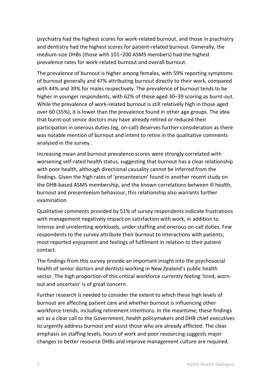psychiatry had the highest scores for work‐related burnout, and those in psychiatry and dentistry had the highest scores for patient‐related burnout. Generally, the medium‐size DHBs (those with 101–200 ASMS members) had the highest prevalence rates for work‐related burnout and overall burnout.

The prevalence of burnout is higher among females, with 59% reporting symptoms of burnout generally and 47% attributing burnout directly to their work, compared with 44% and 39% for males respectively. The prevalence of burnout tends to be higher in younger respondents, with 62% of those aged 30–39 scoring as burnt-out. While the prevalence of work‐related burnout is still relatively high in those aged over 60 (35%), it is lower than the prevalence found in other age groups. The idea that burnt‐out senior doctors may have already retired or reduced their participation in onerous duties (eg, on‐call) deserves further consideration as there was notable mention of burnout and intent to retire in the qualitative comments analysed in the survey.

Increasing mean and burnout prevalence scores were strongly correlated with worsening self-rated health status, suggesting that burnout has a clear relationship with poor health, although directional causality cannot be inferred from the findings. Given the high rates of 'presenteeism' found in another recent study on the DHB‐based ASMS membership, and the known correlations between ill health, burnout and presenteeism behaviour, this relationship also warrants further examination.

Qualitative comments provided by 51% of survey respondents indicate frustrations with management negatively impact on satisfaction with work, in addition to intense and unrelenting workloads, under‐staffing and onerous on‐call duties. Few respondents to the survey attribute their burnout to interactions with patients; most reported enjoyment and feelings of fulfilment in relation to their patient contact.

The findings from this survey provide an important insight into the psychosocial health of senior doctors and dentists working in New Zealand's public health sector. The high proportion of this critical workforce currently feeling 'tired, worn‐ out and uncertain' is of great concern.

Further research is needed to consider the extent to which these high levels of burnout are affecting patient care and whether burnout is influencing other workforce trends, including retirement intentions. In the meantime, these findings act as a clear call to the Government, health policymakers and DHB chief executives to urgently address burnout and assist those who are already afflicted. The clear emphasis on staffing levels, hours of work and poor resourcing suggests major changes to better resource DHBs and improve management culture are required.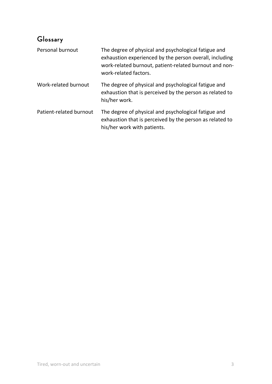# **Glossary**

| Personal burnout        | The degree of physical and psychological fatigue and<br>exhaustion experienced by the person overall, including<br>work-related burnout, patient-related burnout and non-<br>work-related factors. |
|-------------------------|----------------------------------------------------------------------------------------------------------------------------------------------------------------------------------------------------|
| Work-related burnout    | The degree of physical and psychological fatigue and<br>exhaustion that is perceived by the person as related to<br>his/her work.                                                                  |
| Patient-related burnout | The degree of physical and psychological fatigue and<br>exhaustion that is perceived by the person as related to<br>his/her work with patients.                                                    |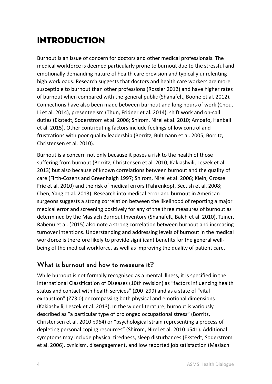# Introduction

Burnout is an issue of concern for doctors and other medical professionals. The medical workforce is deemed particularly prone to burnout due to the stressful and emotionally demanding nature of health care provision and typically unrelenting high workloads. Research suggests that doctors and health care workers are more susceptible to burnout than other professions (Rossler 2012) and have higher rates of burnout when compared with the general public (Shanafelt, Boone et al. 2012). Connections have also been made between burnout and long hours of work (Chou, Li et al. 2014), presenteeism (Thun, Fridner et al. 2014), shift work and on‐call duties (Ekstedt, Soderstrom et al. 2006; Shirom, Nirel et al. 2010; Amoafo, Hanbali et al. 2015). Other contributing factors include feelings of low control and frustrations with poor quality leadership (Borritz, Bultmann et al. 2005; Borritz, Christensen et al. 2010).

Burnout is a concern not only because it poses a risk to the health of those suffering from burnout (Borritz, Christensen et al. 2010; Kakiashvili, Leszek et al. 2013) but also because of known correlations between burnout and the quality of care (Firth‐Cozens and Greenhalgh 1997; Shirom, Nirel et al. 2006; Klein, Grosse Frie et al. 2010) and the risk of medical errors (Fahrenkopf, Sectish et al. 2008; Chen, Yang et al. 2013). Research into medical error and burnout in American surgeons suggests a strong correlation between the likelihood of reporting a major medical error and screening positively for any of the three measures of burnout as determined by the Maslach Burnout Inventory (Shanafelt, Balch et al. 2010). Tziner, Rabenu et al. (2015) also note a strong correlation between burnout and increasing turnover intentions. Understanding and addressing levels of burnout in the medical workforce is therefore likely to provide significant benefits for the general wellbeing of the medical workforce, as well as improving the quality of patient care.

### **What is burnout and how to measure it?**

While burnout is not formally recognised as a mental illness, it is specified in the International Classification of Diseases (10th revision) as "factors influencing health status and contact with health services" (Z00–Z99) and as a state of "vital exhaustion" (Z73.0) encompassing both physical and emotional dimensions (Kakiashvili, Leszek et al. 2013). In the wider literature, burnout is variously described as "a particular type of prolonged occupational stress" (Borritz, Christensen et al. 2010 p964) or "psychological strain representing a process of depleting personal coping resources" (Shirom, Nirel et al. 2010 p541). Additional symptoms may include physical tiredness, sleep disturbances (Ekstedt, Soderstrom et al. 2006), cynicism, disengagement, and low reported job satisfaction (Maslach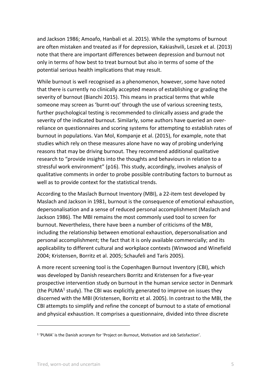and Jackson 1986; Amoafo, Hanbali et al. 2015). While the symptoms of burnout are often mistaken and treated as if for depression, Kakiashvili, Leszek et al. (2013) note that there are important differences between depression and burnout not only in terms of how best to treat burnout but also in terms of some of the potential serious health implications that may result.

While burnout is well recognised as a phenomenon, however, some have noted that there is currently no clinically accepted means of establishing or grading the severity of burnout (Bianchi 2015). This means in practical terms that while someone may screen as 'burnt-out' through the use of various screening tests, further psychological testing is recommended to clinically assess and grade the severity of the indicated burnout. Similarly, some authors have queried an over‐ reliance on questionnaires and scoring systems for attempting to establish rates of burnout in populations. Van Mol, Kompanje et al. (2015), for example, note that studies which rely on these measures alone have no way of probing underlying reasons that may be driving burnout. They recommend additional qualitative research to "provide insights into the thoughts and behaviours in relation to a stressful work environment" (p16). This study, accordingly, involves analysis of qualitative comments in order to probe possible contributing factors to burnout as well as to provide context for the statistical trends.

According to the Maslach Burnout Inventory (MBI), a 22‐item test developed by Maslach and Jackson in 1981, burnout is the consequence of emotional exhaustion, depersonalisation and a sense of reduced personal accomplishment (Maslach and Jackson 1986). The MBI remains the most commonly used tool to screen for burnout. Nevertheless, there have been a number of criticisms of the MBI, including the relationship between emotional exhaustion, depersonalisation and personal accomplishment; the fact that it is only available commercially; and its applicability to different cultural and workplace contexts (Winwood and Winefield 2004; Kristensen, Borritz et al. 2005; Schaufeli and Taris 2005).

A more recent screening tool is the Copenhagen Burnout Inventory (CBI), which was developed by Danish researchers Borritz and Kristensen for a five‐year prospective intervention study on burnout in the human service sector in Denmark (the PUMA<sup>1</sup> study). The CBI was explicitly generated to improve on issues they discerned with the MBI (Kristensen, Borritz et al. 2005). In contrast to the MBI, the CBI attempts to simplify and refine the concept of burnout to a state of emotional and physical exhaustion. It comprises a questionnaire, divided into three discrete

<u> 1989 - Jan Barat, politik eta politik eta politik eta politik eta politik eta politik eta politik eta politik</u>

<sup>1 &#</sup>x27;PUMA' is the Danish acronym for 'Project on Burnout, Motivation and Job Satisfaction'.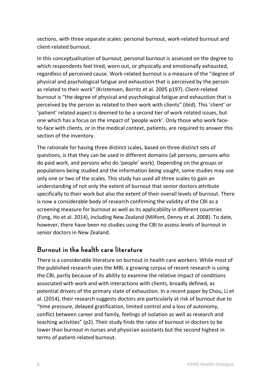sections, with three separate scales: personal burnout, work‐related burnout and client‐related burnout.

In this conceptualisation of burnout, personal burnout is assessed on the degree to which respondents feel tired, worn out, or physically and emotionally exhausted, regardless of perceived cause. Work‐related burnout is a measure of the "degree of physical and psychological fatigue and exhaustion that is perceived by the person as related to their work" (Kristensen, Borritz et al. 2005 p197). Client‐related burnout is "the degree of physical and psychological fatigue and exhaustion that is perceived by the person as related to their work with clients" (ibid). This 'client' or 'patient' related aspect is deemed to be a second tier of work‐related issues, but one which has a focus on the impact of 'people work'. Only those who work face‐ to-face with clients, or in the medical context, patients, are required to answer this section of the inventory.

The rationale for having three distinct scales, based on three distinct sets of questions, is that they can be used in different domains (all persons, persons who do paid work, and persons who do 'people' work). Depending on the groups or populations being studied and the information being sought, some studies may use only one or two of the scales. This study has used all three scales to gain an understanding of not only the extent of burnout that senior doctors attribute specifically to their work but also the extent of their overall levels of burnout. There is now a considerable body of research confirming the validity of the CBI as a screening measure for burnout as well as its applicability in different countries (Fong, Ho et al. 2014), including New Zealand (Milfont, Denny et al. 2008). To date, however, there have been no studies using the CBI to assess levels of burnout in senior doctors in New Zealand.

#### **Burnout in the health care literature**

There is a considerable literature on burnout in health care workers. While most of the published research uses the MBI, a growing corpus of recent research is using the CBI, partly because of its ability to examine the relative impact of conditions associated with work and with interactions with clients, broadly defined, as potential drivers of the primary state of exhaustion. In a recent paper by Chou, Li et al. (2014), their research suggests doctors are particularly at risk of burnout due to "time pressure, delayed gratification, limited control and a loss of autonomy, conflict between career and family, feelings of isolation as well as research and teaching activities" (p2). Their study finds the rates of burnout in doctors to be lower than burnout in nurses and physician assistants but the second highest in terms of patient‐related burnout.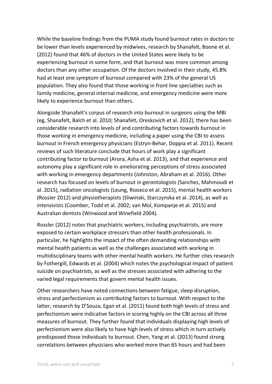While the baseline findings from the PUMA study found burnout rates in doctors to be lower than levels experienced by midwives, research by Shanafelt, Boone et al. (2012) found that 46% of doctors in the United States were likely to be experiencing burnout in some form, and that burnout was more common among doctors than any other occupation. Of the doctors involved in their study, 45.8% had at least one symptom of burnout compared with 23% of the general US population. They also found that those working in front line specialties such as family medicine, general internal medicine, and emergency medicine were more likely to experience burnout than others.

Alongside Shanafelt's corpus of research into burnout in surgeons using the MBI (eg, Shanafelt, Balch et al. 2010; Shanafelt, Oreskovich et al. 2012), there has been considerable research into levels of and contributing factors towards burnout in those working in emergency medicine, including a paper using the CBI to assess burnout in French emergency physicians (Estryn‐Behar, Doppia et al. 2011). Recent reviews of such literature conclude that hours of work play a significant contributing factor to burnout (Arora, Asha et al. 2013), and that experience and autonomy play a significant role in ameliorating perceptions of stress associated with working in emergency departments (Johnston, Abraham et al. 2016). Other research has focused on levels of burnout in gerontologists (Sanchez, Mahmoudi et al. 2015), radiation oncologists (Leung, Rioseco et al. 2015), mental health workers (Rossler 2012) and physiotherapists (Sliwinski, Starczynska et al. 2014), as well as intensivists (Coomber, Todd et al. 2002; van Mol, Kompanje et al. 2015) and Australian dentists (Winwood and Winefield 2004).

Rossler (2012) notes that psychiatric workers, including psychiatrists, are more exposed to certain workplace stressors than other health professionals. In particular, he highlights the impact of the often demanding relationships with mental health patients as well as the challenges associated with working in multidisciplinary teams with other mental health workers. He further cites research by Fothergill, Edwards et al. (2004) which notes the psychological impact of patient suicide on psychiatrists, as well as the stresses associated with adhering to the varied legal requirements that govern mental health issues.

Other researchers have noted connections between fatigue, sleep disruption, stress and perfectionism as contributing factors to burnout. With respect to the latter, research by D'Souza, Egan et al. (2011) found both high levels of stress and perfectionism were indicative factors in scoring highly on the CBI across all three measures of burnout. They further found that individuals displaying high levels of perfectionism were also likely to have high levels of stress which in turn actively predisposed those individuals to burnout. Chen, Yang et al. (2013) found strong correlations between physicians who worked more than 65 hours and had been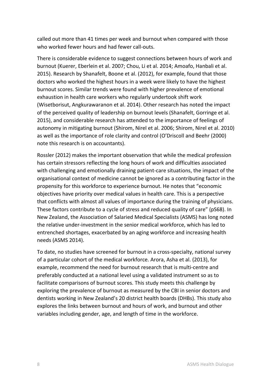called out more than 41 times per week and burnout when compared with those who worked fewer hours and had fewer call-outs.

There is considerable evidence to suggest connections between hours of work and burnout (Kuerer, Eberlein et al. 2007; Chou, Li et al. 2014; Amoafo, Hanbali et al. 2015). Research by Shanafelt, Boone et al. (2012), for example, found that those doctors who worked the highest hours in a week were likely to have the highest burnout scores. Similar trends were found with higher prevalence of emotional exhaustion in health care workers who regularly undertook shift work (Wisetborisut, Angkurawaranon et al. 2014). Other research has noted the impact of the perceived quality of leadership on burnout levels (Shanafelt, Gorringe et al. 2015), and considerable research has attended to the importance of feelings of autonomy in mitigating burnout (Shirom, Nirel et al. 2006; Shirom, Nirel et al. 2010) as well as the importance of role clarity and control (O'Driscoll and Beehr (2000) note this research is on accountants).

Rossler (2012) makes the important observation that while the medical profession has certain stressors reflecting the long hours of work and difficulties associated with challenging and emotionally draining patient‐care situations, the impact of the organisational context of medicine cannot be ignored as a contributing factor in the propensity for this workforce to experience burnout. He notes that "economic objectives have priority over medical values in health care. This is a perspective that conflicts with almost all values of importance during the training of physicians. These factors contribute to a cycle of stress and reduced quality of care" (pS68). In New Zealand, the Association of Salaried Medical Specialists (ASMS) has long noted the relative under‐investment in the senior medical workforce, which has led to entrenched shortages, exacerbated by an aging workforce and increasing health needs (ASMS 2014).

To date, no studies have screened for burnout in a cross‐specialty, national survey of a particular cohort of the medical workforce. Arora, Asha et al. (2013), for example, recommend the need for burnout research that is multi‐centre and preferably conducted at a national level using a validated instrument so as to facilitate comparisons of burnout scores. This study meets this challenge by exploring the prevalence of burnout as measured by the CBI in senior doctors and dentists working in New Zealand's 20 district health boards (DHBs). This study also explores the links between burnout and hours of work, and burnout and other variables including gender, age, and length of time in the workforce.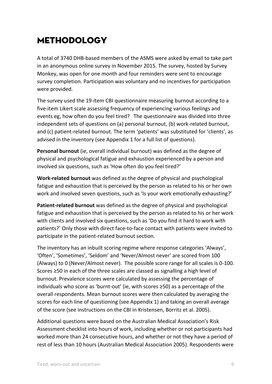# Methodology

A total of 3740 DHB‐based members of the ASMS were asked by email to take part in an anonymous online survey in November 2015. The survey, hosted by Survey Monkey, was open for one month and four reminders were sent to encourage survey completion. Participation was voluntary and no incentives for participation were provided.

The survey used the 19‐item CBI questionnaire measuring burnout according to a five‐item Likert scale assessing frequency of experiencing various feelings and events eg, how often do you feel tired? The questionnaire was divided into three independent sets of questions on (a) personal burnout, (b) work‐related burnout, and (c) patient-related burnout. The term 'patients' was substituted for 'clients', as advised in the inventory (see Appendix 1 for a full list of questions).

**Personal burnout** (ie, overall individual burnout) was defined as the degree of physical and psychological fatigue and exhaustion experienced by a person and involved six questions, such as 'How often do you feel tired?'

**Work‐related burnout** was defined as the degree of physical and psychological fatigue and exhaustion that is perceived by the person as related to his or her own work and involved seven questions, such as 'Is your work emotionally exhausting?'

**Patient‐related burnout** was defined as the degree of physical and psychological fatigue and exhaustion that is perceived by the person as related to his or her work with clients and involved six questions, such as 'Do you find it hard to work with patients?' Only those with direct face‐to‐face contact with patients were invited to participate in the patient‐related burnout section.

The inventory has an inbuilt scoring regime where response categories 'Always', 'Often', 'Sometimes', 'Seldom' and 'Never/Almost never' are scored from 100 (Always) to 0 (Never/Almost never). The possible score range for all scales is 0‐100. Scores ≥50 in each of the three scales are classed as signalling a high level of burnout. Prevalence scores were calculated by assessing the percentage of individuals who score as 'burnt‐out' (ie, with scores ≥50) as a percentage of the overall respondents. Mean burnout scores were then calculated by averaging the scores for each line of questioning (see Appendix 1) and taking an overall average of the score (see instructions on the CBI in Kristensen, Borritz et al. 2005).

Additional questions were based on the Australian Medical Association's Risk Assessment checklist into hours of work, including whether or not participants had worked more than 24 consecutive hours, and whether or not they have a period of rest of less than 10 hours (Australian Medical Association 2005). Respondents were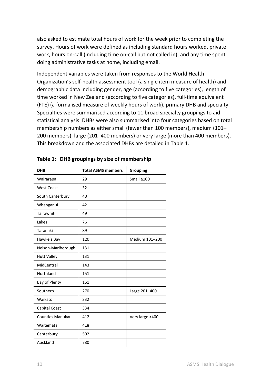also asked to estimate total hours of work for the week prior to completing the survey. Hours of work were defined as including standard hours worked, private work, hours on-call (including time on-call but not called in), and any time spent doing administrative tasks at home, including email.

Independent variables were taken from responses to the World Health Organization's self‐health assessment tool (a single item measure of health) and demographic data including gender, age (according to five categories), length of time worked in New Zealand (according to five categories), full-time equivalent (FTE) (a formalised measure of weekly hours of work), primary DHB and specialty. Specialties were summarised according to 11 broad specialty groupings to aid statistical analysis. DHBs were also summarised into four categories based on total membership numbers as either small (fewer than 100 members), medium (101– 200 members), large (201–400 members) or very large (more than 400 members). This breakdown and the associated DHBs are detailed in Table 1.

| <b>Total ASMS members</b> | Grouping        |
|---------------------------|-----------------|
| 29                        | Small ≤100      |
| 32                        |                 |
| 40                        |                 |
| 42                        |                 |
| 49                        |                 |
| 76                        |                 |
| 89                        |                 |
| 120                       | Medium 101-200  |
| 131                       |                 |
| 131                       |                 |
| 143                       |                 |
| 151                       |                 |
| 161                       |                 |
| 270                       | Large 201-400   |
| 332                       |                 |
| 334                       |                 |
| 412                       | Very large >400 |
| 418                       |                 |
| 502                       |                 |
| 780                       |                 |
|                           |                 |

|  | Table 1: DHB groupings by size of membership |  |  |  |
|--|----------------------------------------------|--|--|--|
|--|----------------------------------------------|--|--|--|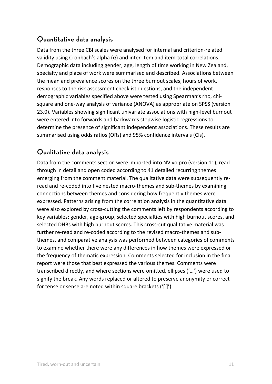# **Quantitative data analysis**

Data from the three CBI scales were analysed for internal and criterion‐related validity using Cronbach's alpha  $(α)$  and inter-item and item-total correlations. Demographic data including gender, age, length of time working in New Zealand, specialty and place of work were summarised and described. Associations between the mean and prevalence scores on the three burnout scales, hours of work, responses to the risk assessment checklist questions, and the independent demographic variables specified above were tested using Spearman's rho, chi‐ square and one‐way analysis of variance (ANOVA) as appropriate on SPSS (version 23.0). Variables showing significant univariate associations with high‐level burnout were entered into forwards and backwards stepwise logistic regressions to determine the presence of significant independent associations. These results are summarised using odds ratios (ORs) and 95% confidence intervals (CIs).

## **Qualitative data analysis**

Data from the comments section were imported into NVivo pro (version 11), read through in detail and open coded according to 41 detailed recurring themes emerging from the comment material. The qualitative data were subsequently re‐ read and re-coded into five nested macro-themes and sub-themes by examining connections between themes and considering how frequently themes were expressed. Patterns arising from the correlation analysis in the quantitative data were also explored by cross-cutting the comments left by respondents according to key variables: gender, age‐group, selected specialties with high burnout scores, and selected DHBs with high burnout scores. This cross-cut qualitative material was further re-read and re-coded according to the revised macro-themes and subthemes, and comparative analysis was performed between categories of comments to examine whether there were any differences in how themes were expressed or the frequency of thematic expression. Comments selected for inclusion in the final report were those that best expressed the various themes. Comments were transcribed directly, and where sections were omitted, ellipses ('…') were used to signify the break. Any words replaced or altered to preserve anonymity or correct for tense or sense are noted within square brackets ('[ ]').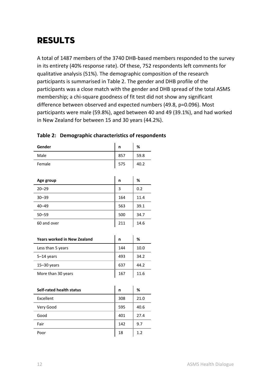# **RESULTS**

A total of 1487 members of the 3740 DHB‐based members responded to the survey in its entirety (40% response rate). Of these, 752 respondents left comments for qualitative analysis (51%). The demographic composition of the research participants is summarised in Table 2. The gender and DHB profile of the participants was a close match with the gender and DHB spread of the total ASMS membership; a chi-square goodness of fit test did not show any significant difference between observed and expected numbers (49.8, p=0.096). Most participants were male (59.8%), aged between 40 and 49 (39.1%), and had worked in New Zealand for between 15 and 30 years (44.2%).

| Gender      | n   | %    |
|-------------|-----|------|
| Male        | 857 | 59.8 |
| Female      | 575 | 40.2 |
|             |     |      |
| Age group   | n   | %    |
| $20 - 29$   | 3   | 0.2  |
| $30 - 39$   | 164 | 11.4 |
| $40 - 49$   | 563 | 39.1 |
| $50 - 59$   | 500 | 34.7 |
| 60 and over | 211 | 14.6 |
|             |     |      |

#### **Table 2: Demographic characteristics of respondents**

| <b>Years worked in New Zealand</b> | n   | %    |
|------------------------------------|-----|------|
| Less than 5 years                  | 144 | 10.0 |
| $5-14$ years                       | 493 | 34.2 |
| $15 - 30$ years                    | 637 | 44.2 |
| More than 30 years                 | 167 | 11 6 |

| Self-rated health status | n   | %    |
|--------------------------|-----|------|
| Excellent                | 308 | 21.0 |
| Very Good                | 595 | 40.6 |
| Good                     | 401 | 27.4 |
| Fair                     | 142 | 9.7  |
| Poor                     | 18  | 1.2  |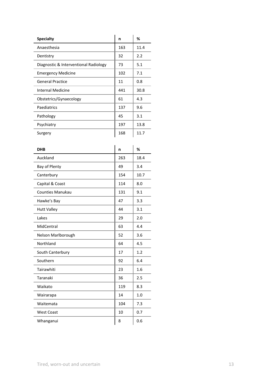| <b>Specialty</b>                      | n   | %    |
|---------------------------------------|-----|------|
| Anaesthesia                           | 163 | 11.4 |
| Dentistry                             | 32  | 2.2  |
| Diagnostic & Interventional Radiology | 73  | 5.1  |
| <b>Emergency Medicine</b>             | 102 | 7.1  |
| <b>General Practice</b>               | 11  | 0.8  |
| Internal Medicine                     | 441 | 30.8 |
| Obstetrics/Gynaecology                | 61  | 4.3  |
| Paediatrics                           | 137 | 9.6  |
| Pathology                             | 45  | 3.1  |
| Psychiatry                            | 197 | 13.8 |
| Surgery                               | 168 | 11.7 |

| <b>DHB</b>              | n   | $\%$ |
|-------------------------|-----|------|
| Auckland                | 263 | 18.4 |
| Bay of Plenty           | 49  | 3.4  |
| Canterbury              | 154 | 10.7 |
| Capital & Coast         | 114 | 8.0  |
| <b>Counties Manukau</b> | 131 | 9.1  |
| Hawke's Bay             | 47  | 3.3  |
| <b>Hutt Valley</b>      | 44  | 3.1  |
| Lakes                   | 29  | 2.0  |
| MidCentral              | 63  | 4.4  |
| Nelson Marlborough      | 52  | 3.6  |
| Northland               | 64  | 4.5  |
| South Canterbury        | 17  | 1.2  |
| Southern                | 92  | 6.4  |
| Tairawhiti              | 23  | 1.6  |
| Taranaki                | 36  | 2.5  |
| Waikato                 | 119 | 8.3  |
| Wairarapa               | 14  | 1.0  |
| Waitemata               | 104 | 7.3  |
| <b>West Coast</b>       | 10  | 0.7  |
| Whanganui               | 8   | 0.6  |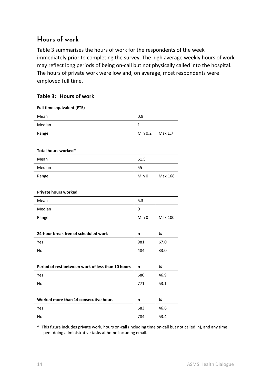### **Hours of work**

Table 3 summarises the hours of work for the respondents of the week immediately prior to completing the survey. The high average weekly hours of work may reflect long periods of being on‐call but not physically called into the hospital. The hours of private work were low and, on average, most respondents were employed full time.

#### **Table 3: Hours of work**

| <b>Full time equivalent (FTE)</b>                 |         |         |
|---------------------------------------------------|---------|---------|
| Mean                                              | 0.9     |         |
| Median                                            | 1       |         |
| Range                                             | Min 0.2 | Max 1.7 |
|                                                   |         |         |
| Total hours worked*                               |         |         |
| Mean                                              | 61.5    |         |
| Median                                            | 55      |         |
| Range                                             | Min 0   | Max 168 |
|                                                   |         |         |
| <b>Private hours worked</b>                       |         |         |
| Mean                                              | 5.3     |         |
| Median                                            | 0       |         |
| Range                                             | Min 0   | Max 100 |
|                                                   |         |         |
| 24-hour break free of scheduled work              | n       | %       |
| Yes                                               | 981     | 67.0    |
| <b>No</b>                                         | 484     | 33.0    |
|                                                   |         |         |
| Period of rest between work of less than 10 hours | n       | %       |
| Yes                                               | 680     | 46.9    |
| <b>No</b>                                         | 771     | 53.1    |
|                                                   |         |         |
| Worked more than 14 consecutive hours             | n       | %       |

Yes 683 46.6 No 2012 12:33.4

\* This figure includes private work, hours on‐call (including time on‐call but not called in), and any time spent doing administrative tasks at home including email.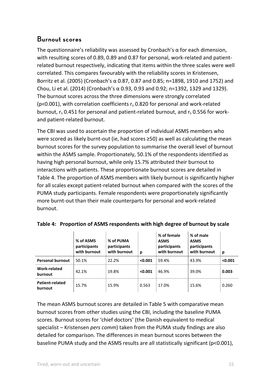### **Burnout scores**

The questionnaire's reliability was assessed by Cronbach's  $\alpha$  for each dimension, with resulting scores of 0.89, 0.89 and 0.87 for personal, work-related and patientrelated burnout respectively, indicating that items within the three scales were well correlated. This compares favourably with the reliability scores in Kristensen, Borritz et al. (2005) (Cronbach's α 0.87, 0.87 and 0.85; n=1898, 1910 and 1752) and Chou, Li et al. (2014) (Cronbach's α 0.93, 0.93 and 0.92; n=1392, 1329 and 1329). The burnout scores across the three dimensions were strongly correlated ( $p$ <0.001), with correlation coefficients  $r_s$  0.820 for personal and work-related burnout,  $r_s$  0.451 for personal and patient-related burnout, and  $r_s$  0.556 for workand patient‐related burnout.

The CBI was used to ascertain the proportion of individual ASMS members who were scored as likely burnt-out (ie, had scores ≥50) as well as calculating the mean burnout scores for the survey population to summarise the overall level of burnout within the ASMS sample. Proportionately, 50.1% of the respondents identified as having high personal burnout, while only 15.7% attributed their burnout to interactions with patients. These proportionate burnout scores are detailed in Table 4. The proportion of ASMS members with likely burnout is significantly higher for all scales except patient‐related burnout when compared with the scores of the PUMA study participants. Female respondents were proportionately significantly more burnt‐out than their male counterparts for personal and work‐related burnout.

|                            | % of ASMS<br>participants<br>with burnout | % of PUMA<br>participants<br>with burnout | p       | % of female<br><b>ASMS</b><br>participants<br>with burnout | % of male<br><b>ASMS</b><br>participants<br>with burnout | p       |
|----------------------------|-------------------------------------------|-------------------------------------------|---------|------------------------------------------------------------|----------------------------------------------------------|---------|
| <b>Personal burnout</b>    | 50.1%                                     | 22.2%                                     | < 0.001 | 59.4%                                                      | 43.9%                                                    | < 0.001 |
| Work-related<br>burnout    | 42.1%                                     | 19.8%                                     | < 0.001 | 46.9%                                                      | 39.0%                                                    | 0.003   |
| Patient-related<br>burnout | 15.7%                                     | 15.9%                                     | 0.563   | 17.0%                                                      | 15.6%                                                    | 0.260   |

|  | Table 4: Proportion of ASMS respondents with high degree of burnout by scale |  |  |
|--|------------------------------------------------------------------------------|--|--|
|  |                                                                              |  |  |

The mean ASMS burnout scores are detailed in Table 5 with comparative mean burnout scores from other studies using the CBI, including the baseline PUMA scores. Burnout scores for 'chief doctors' (the Danish equivalent to medical specialist – Kristensen *pers comm*) taken from the PUMA study findings are also detailed for comparison. The differences in mean burnout scores between the baseline PUMA study and the ASMS results are all statistically significant (p<0.001),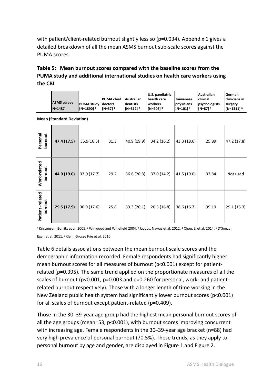with patient/client-related burnout slightly less so (p=0.034). Appendix 1 gives a detailed breakdown of all the mean ASMS burnout sub‐scale scores against the PUMA scores.

#### **Table 5: Mean burnout scores compared with the baseline scores from the PUMA study and additional international studies on health care workers using the CBI**

|                            | <b>ASMS survey</b><br>$N = 1487$ | <b>PUMA study</b><br>$[N=1890]$ <sup>1</sup> | <b>PUMA chief</b><br>doctors<br>$[N=37]$ <sup>1</sup> | Australian<br>dentists<br>$[N=312]$ <sup>2</sup> | U.S. paediatric<br>health care<br>workers<br>$[N=206]$ <sup>3</sup> | <b>Taiwanese</b><br>physicians<br>$[N=101]$ <sup>4</sup> | <b>Australian</b><br>clinical<br>psychologists<br>$[N=87]$ <sup>5</sup> | German<br>clinicians in<br>surgery<br>$[N=1311]$ <sup>6</sup> |
|----------------------------|----------------------------------|----------------------------------------------|-------------------------------------------------------|--------------------------------------------------|---------------------------------------------------------------------|----------------------------------------------------------|-------------------------------------------------------------------------|---------------------------------------------------------------|
|                            | <b>Mean (Standard Deviation)</b> |                                              |                                                       |                                                  |                                                                     |                                                          |                                                                         |                                                               |
| burnout<br>Personal        | 47.4 (17.5)                      | 35.9(16.5)                                   | 31.3                                                  | 40.9 (19.9)                                      | 34.2 (16.2)                                                         | 43.3 (18.6)                                              | 25.89                                                                   | 47.2 (17.8)                                                   |
| Work-related<br>burnout    | 44.0 (19.0)                      | 33.0(17.7)                                   | 29.2                                                  | 36.6 (20.3)                                      | 37.0 (14.2)                                                         | 41.5 (19.0)                                              | 33.84                                                                   | Not used                                                      |
| Patient-related<br>burnout | 29.5 (17.9)                      | 30.9 (17.6)                                  | 25.8                                                  | 33.3(20.1)                                       | 20.3(16.8)                                                          | 38.6 (16.7)                                              | 39.19                                                                   | 29.1(16.3)                                                    |

1 Kristensen, Borritz et al. 2005, 2 Winwood and Winefield 2004, 3 Jacobs, Nawaz et al. 2012, 4 Chou, Li et al. 2014, 5 D'Souza, Egan et al. 2011, 6 Klein, Grosse Frie et al. 2010

Table 6 details associations between the mean burnout scale scores and the demographic information recorded. Female respondents had significantly higher mean burnout scores for all measures of burnout (p<0.001) except for patientrelated (p=0.395). The same trend applied on the proportionate measures of all the scales of burnout (p<0.001, p=0.003 and p=0.260 for personal, work- and patientrelated burnout respectively). Those with a longer length of time working in the New Zealand public health system had significantly lower burnout scores (p<0.001) for all scales of burnout except patient‐related (p=0.409).

Those in the 30–39‐year age group had the highest mean personal burnout scores of all the age groups (mean=53, p<0.001), with burnout scores improving concurrent with increasing age. Female respondents in the 30–39-year age bracket (n=88) had very high prevalence of personal burnout (70.5%). These trends, as they apply to personal burnout by age and gender, are displayed in Figure 1 and Figure 2.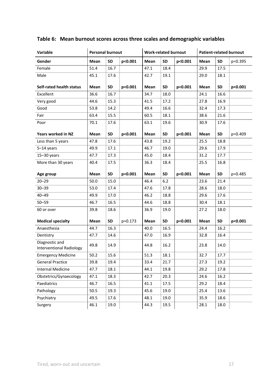| Variable                                          | <b>Patient-related burnout</b><br><b>Personal burnout</b><br><b>Work-related burnout</b> |           |         |             |           |         |      |           |         |
|---------------------------------------------------|------------------------------------------------------------------------------------------|-----------|---------|-------------|-----------|---------|------|-----------|---------|
| Gender                                            | Mean                                                                                     | <b>SD</b> | p<0.001 | Mean        | <b>SD</b> | p<0.001 | Mean | <b>SD</b> | p=0.395 |
| Female                                            | 51.4                                                                                     | 16.7      |         | 47.1        | 18.4      |         | 29.9 | 17.5      |         |
| Male                                              | 45.1                                                                                     | 17.6      |         | 42.7        | 19.1      |         | 29.0 | 18.1      |         |
| <b>Self-rated health status</b>                   | Mean                                                                                     | <b>SD</b> | p<0.001 | Mean        | <b>SD</b> | p<0.001 | Mean | <b>SD</b> | p<0.001 |
| Excellent                                         | 36.6                                                                                     | 16.7      |         | 34.7        | 18.0      |         | 24.1 | 16.6      |         |
| Very good                                         | 44.6                                                                                     | 15.3      |         | 41.5        | 17.2      |         | 27.8 | 16.9      |         |
| Good                                              | 53.8                                                                                     | 14.2      |         | 49.4        | 16.6      |         | 32.4 | 17.3      |         |
| Fair                                              | 63.4                                                                                     | 15.5      |         | 60.5        | 18.1      |         | 38.6 | 21.6      |         |
| Poor                                              | 70.1                                                                                     | 17.6      |         | 63.1        | 19.6      |         | 30.9 | 17.6      |         |
| Years worked in NZ                                | Mean                                                                                     | <b>SD</b> | p<0.001 | <b>Mean</b> | <b>SD</b> | p<0.001 | Mean | <b>SD</b> | p=0.409 |
| Less than 5 years                                 | 47.8                                                                                     | 17.6      |         | 43.8        | 19.2      |         | 25.5 | 18.8      |         |
| $5-14$ years                                      | 49.9                                                                                     | 17.1      |         | 46.7        | 19.0      |         | 29.6 | 17.9      |         |
| $15 - 30$ years                                   | 47.7                                                                                     | 17.3      |         | 45.0        | 18.4      |         | 31.2 | 17.7      |         |
| More than 30 years                                | 40.4                                                                                     | 17.5      |         | 36.3        | 18.4      |         | 25.5 | 16.8      |         |
| Age group                                         | Mean                                                                                     | <b>SD</b> | p<0.001 | Mean        | <b>SD</b> | p<0.001 | Mean | <b>SD</b> | p=0.485 |
| $20 - 29$                                         | 50.0                                                                                     | 15.0      |         | 46.4        | $6.2$     |         | 23.6 | 21.4      |         |
| $30 - 39$                                         | 53.0                                                                                     | 17.4      |         | 47.6        | 17.8      |         | 28.6 | 18.0      |         |
| $40 - 49$                                         | 49.9                                                                                     | 17.0      |         | 46.2        | 18.8      |         | 29.6 | 17.6      |         |
| $50 - 59$                                         | 46.7                                                                                     | 16.5      |         | 44.6        | 18.8      |         | 30.4 | 18.1      |         |
| 60 or over                                        | 39.8                                                                                     | 18.6      |         | 36.9        | 19.0      |         | 27.2 | 18.0      |         |
| <b>Medical specialty</b>                          | Mean                                                                                     | <b>SD</b> | p=0.173 | Mean        | <b>SD</b> | p<0.001 | Mean | <b>SD</b> | p<0.001 |
| Anaesthesia                                       | 44.7                                                                                     | 16.3      |         | 40.0        | 16.5      |         | 24.4 | 16.2      |         |
| Dentistry                                         | 47.7                                                                                     | 14.6      |         | 47.0        | 16.9      |         | 32.8 | 16.4      |         |
| Diagnostic and<br><b>Interventional Radiology</b> | 49.8                                                                                     | 14.9      |         | 44.8        | 16.2      |         | 23.8 | 14.0      |         |
| <b>Emergency Medicine</b>                         | 50.2                                                                                     | 15.6      |         | 51.3        | 18.1      |         | 32.7 | 17.7      |         |
| <b>General Practice</b>                           | 39.8                                                                                     | 19.4      |         | 33.4        | 21.7      |         | 27.3 | 19.2      |         |
| <b>Internal Medicine</b>                          | 47.7                                                                                     | 18.1      |         | 44.1        | 19.8      |         | 29.2 | 17.8      |         |
| Obstetrics/Gynaecology                            | 47.1                                                                                     | 18.3      |         | 42.7        | 20.3      |         | 24.6 | 16.2      |         |
| Paediatrics                                       | 46.7                                                                                     | 16.5      |         | 41.1        | 17.5      |         | 29.2 | 18.4      |         |
| Pathology                                         | 50.5                                                                                     | 19.3      |         | 45.6        | 19.0      |         | 25.4 | 13.6      |         |
| Psychiatry                                        | 49.5                                                                                     | 17.6      |         | 48.1        | 19.0      |         | 35.9 | 18.6      |         |
| Surgery                                           | 46.1                                                                                     | 19.0      |         | 44.3        | 19.5      |         | 28.1 | 18.0      |         |

#### **Table 6: Mean burnout scores across three scales and demographic variables**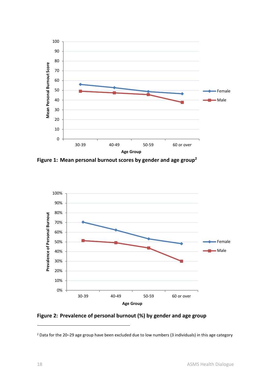

**Figure 1: Mean personal burnout scores by gender and age group2**



**Figure 2: Prevalence of personal burnout (%) by gender and age group** 

<u> 1989 - Jan Barat, politik eta politik eta politik eta politik eta politik eta politik eta politik eta politik</u>

<sup>2</sup> Data for the 20–29 age group have been excluded due to low numbers (3 individuals) in this age category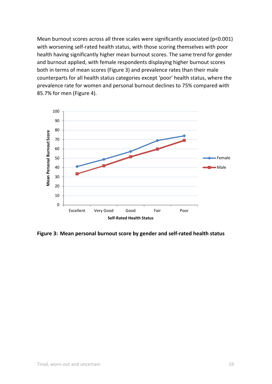Mean burnout scores across all three scales were significantly associated (p<0.001) with worsening self-rated health status, with those scoring themselves with poor health having significantly higher mean burnout scores. The same trend for gender and burnout applied, with female respondents displaying higher burnout scores both in terms of mean scores (Figure 3) and prevalence rates than their male counterparts for all health status categories except 'poor' health status, where the prevalence rate for women and personal burnout declines to 75% compared with 85.7% for men (Figure 4).



**Figure 3: Mean personal burnout score by gender and self‐rated health status**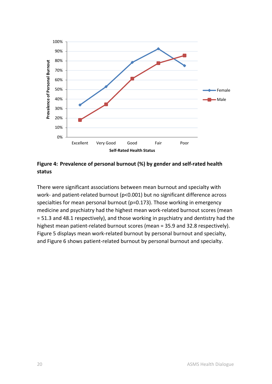

**Figure 4: Prevalence of personal burnout (%) by gender and self‐rated health status** 

There were significant associations between mean burnout and specialty with work- and patient-related burnout (p<0.001) but no significant difference across specialties for mean personal burnout (p=0.173). Those working in emergency medicine and psychiatry had the highest mean work‐related burnout scores (mean = 51.3 and 48.1 respectively), and those working in psychiatry and dentistry had the highest mean patient-related burnout scores (mean = 35.9 and 32.8 respectively). Figure 5 displays mean work-related burnout by personal burnout and specialty, and Figure 6 shows patient-related burnout by personal burnout and specialty.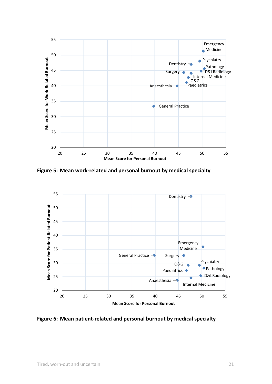

**Figure 5: Mean work‐related and personal burnout by medical specialty** 



**Figure 6: Mean patient‐related and personal burnout by medical specialty**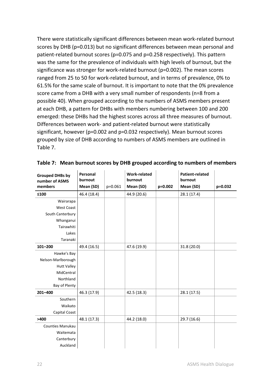There were statistically significant differences between mean work‐related burnout scores by DHB (p=0.013) but no significant differences between mean personal and patient-related burnout scores (p=0.075 and p=0.258 respectively). This pattern was the same for the prevalence of individuals with high levels of burnout, but the significance was stronger for work-related burnout (p=0.002). The mean scores ranged from 25 to 50 for work‐related burnout, and in terms of prevalence, 0% to 61.5% for the same scale of burnout. It is important to note that the 0% prevalence score came from a DHB with a very small number of respondents (n=8 from a possible 40). When grouped according to the numbers of ASMS members present at each DHB, a pattern for DHBs with members numbering between 100 and 200 emerged: these DHBs had the highest scores across all three measures of burnout. Differences between work‐ and patient‐related burnout were statistically significant, however (p=0.002 and p=0.032 respectively). Mean burnout scores grouped by size of DHB according to numbers of ASMS members are outlined in Table 7.

| <b>Grouped DHBs by</b> | Personal    |         | <b>Work-related</b> |         | <b>Patient-related</b> |             |
|------------------------|-------------|---------|---------------------|---------|------------------------|-------------|
| number of ASMS         | burnout     |         | burnout             |         | burnout                |             |
| members                | Mean (SD)   | p=0.061 | Mean (SD)           | p=0.002 | Mean (SD)              | $p = 0.032$ |
| ≤100                   | 46.4 (18.4) |         | 44.9 (20.6)         |         | 28.1 (17.4)            |             |
| Wairarapa              |             |         |                     |         |                        |             |
| <b>West Coast</b>      |             |         |                     |         |                        |             |
| South Canterbury       |             |         |                     |         |                        |             |
| Whanganui              |             |         |                     |         |                        |             |
| Tairawhiti             |             |         |                     |         |                        |             |
| Lakes                  |             |         |                     |         |                        |             |
| Taranaki               |             |         |                     |         |                        |             |
| $101 - 200$            | 49.4 (16.5) |         | 47.6 (19.9)         |         | 31.8 (20.0)            |             |
| Hawke's Bay            |             |         |                     |         |                        |             |
| Nelson-Marlborough     |             |         |                     |         |                        |             |
| <b>Hutt Valley</b>     |             |         |                     |         |                        |             |
| MidCentral             |             |         |                     |         |                        |             |
| Northland              |             |         |                     |         |                        |             |
| Bay of Plenty          |             |         |                     |         |                        |             |
| 201-400                | 46.3 (17.9) |         | 42.5 (18.3)         |         | 28.1(17.5)             |             |
| Southern               |             |         |                     |         |                        |             |
| Waikato                |             |         |                     |         |                        |             |
| Capital Coast          |             |         |                     |         |                        |             |
| >400                   | 48.1 (17.3) |         | 44.2 (18.0)         |         | 29.7 (16.6)            |             |
| Counties Manukau       |             |         |                     |         |                        |             |
| Waitemata              |             |         |                     |         |                        |             |
| Canterbury             |             |         |                     |         |                        |             |
| Auckland               |             |         |                     |         |                        |             |

**Table 7: Mean burnout scores by DHB grouped according to numbers of members**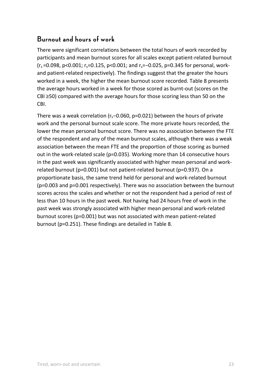### **Burnout and hours of work**

There were significant correlations between the total hours of work recorded by participants and mean burnout scores for all scales except patient‐related burnout  $(r_s = 0.098, p < 0.001; r_s = 0.125, p < 0.001;$  and  $r_s = -0.025, p = 0.345$  for personal, workand patient-related respectively). The findings suggest that the greater the hours worked in a week, the higher the mean burnout score recorded. Table 8 presents the average hours worked in a week for those scored as burnt‐out (scores on the CBI ≥50) compared with the average hours for those scoring less than 50 on the CBI.

There was a weak correlation (r<sub>s</sub>−0.060, p=0.021) between the hours of private work and the personal burnout scale score. The more private hours recorded, the lower the mean personal burnout score. There was no association between the FTE of the respondent and any of the mean burnout scales, although there was a weak association between the mean FTE and the proportion of those scoring as burned out in the work‐related scale (p=0.035). Working more than 14 consecutive hours in the past week was significantly associated with higher mean personal and work‐ related burnout (p=0.001) but not patient‐related burnout (p=0.937). On a proportionate basis, the same trend held for personal and work‐related burnout (p=0.003 and p=0.001 respectively). There was no association between the burnout scores across the scales and whether or not the respondent had a period of rest of less than 10 hours in the past week. Not having had 24 hours free of work in the past week was strongly associated with higher mean personal and work‐related burnout scores (p=0.001) but was not associated with mean patient‐related burnout (p=0.251). These findings are detailed in Table 8.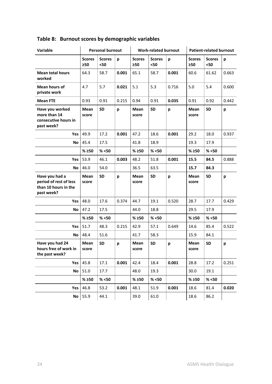| Variable                                                                       |                            | <b>Personal burnout</b> |       | <b>Work-related burnout</b> |                       |       | <b>Patient-related burnout</b> |                       |       |
|--------------------------------------------------------------------------------|----------------------------|-------------------------|-------|-----------------------------|-----------------------|-------|--------------------------------|-----------------------|-------|
|                                                                                | <b>Scores</b><br>$\geq 50$ | <b>Scores</b><br>$50$   | p     | <b>Scores</b><br>>50        | <b>Scores</b><br>$50$ | р     | <b>Scores</b><br>>50           | <b>Scores</b><br>$50$ | p     |
| <b>Mean total hours</b><br>worked                                              | 64.3                       | 58.7                    | 0.001 | 65.1                        | 58.7                  | 0.001 | 60.6                           | 61.62                 | 0.663 |
| Mean hours of<br>private work                                                  | 4.7                        | 5.7                     | 0.021 | 5.1                         | 5.3                   | 0.716 | 5.0                            | 5.4                   | 0.600 |
| <b>Mean FTE</b>                                                                | 0.93                       | 0.91                    | 0.215 | 0.94                        | 0.91                  | 0.035 | 0.91                           | 0.92                  | 0.442 |
| Have you worked<br>more than 14<br>consecutive hours in<br>past week?          | Mean<br>score              | <b>SD</b>               | p     | Mean<br>score               | <b>SD</b>             | p     | Mean<br>score                  | <b>SD</b>             | p     |
| Yes l                                                                          | 49.9                       | 17.2                    | 0.001 | 47.2                        | 18.6                  | 0.001 | 29.2                           | 18.0                  | 0.937 |
| No.                                                                            | 45.4                       | 17.5                    |       | 41.8                        | 18.9                  |       | 19.3                           | 17.9                  |       |
|                                                                                | % ≥50                      | % < 50                  |       | % > 50                      | % < 50                |       | % ≥50                          | % < 50                |       |
| Yes                                                                            | 53.9                       | 46.1                    | 0.003 | 48.2                        | 51.8                  | 0.001 | 15.5                           | 84.5                  | 0.888 |
| No                                                                             | 46.0                       | 54.0                    |       | 36.5                        | 63.5                  |       | 15.7                           | 84.3                  |       |
| Have you had a<br>period of rest of less<br>than 10 hours in the<br>past week? | Mean<br>score              | <b>SD</b>               | p     | Mean<br>score               | <b>SD</b>             | p     | Mean<br>score                  | <b>SD</b>             | р     |
| Yes l                                                                          | 48.0                       | 17.6                    | 0.374 | 44.7                        | 19.1                  | 0.520 | 28.7                           | 17.7                  | 0.429 |
| No                                                                             | 47.2                       | 17.5                    |       | 44.0                        | 18.8                  |       | 29.5                           | 17.9                  |       |
|                                                                                | % ≥50                      | % < 50                  |       | % > 50                      | % < 50                |       | % ≥50                          | % < 50                |       |
| Yes                                                                            | 51.7                       | 48.3                    | 0.215 | 42.9                        | 57.1                  | 0.649 | 14.6                           | 85.4                  | 0.522 |
| No                                                                             | 48.4                       | 51.6                    |       | 41.7                        | 58.3                  |       | 15.9                           | 84.1                  |       |
| Have you had 24<br>hours free of work in<br>the past week?                     | Mean<br>score              | <b>SD</b>               | p     | Mean<br>score               | <b>SD</b>             | p     | Mean<br>score                  | <b>SD</b>             | р     |
| Yes                                                                            | 45.8                       | 17.1                    | 0.001 | 42.4                        | 18.4                  | 0.001 | 28.8                           | 17.2                  | 0.251 |
| No                                                                             | 51.0                       | 17.7                    |       | 48.0                        | 19.3                  |       | 30.0                           | 19.1                  |       |
|                                                                                | % > 50                     | % < 50                  |       | % > 50                      | % < 50                |       | % > 50                         | % < 50                |       |
| Yes                                                                            | 46.8                       | 53.2                    | 0.001 | 48.1                        | 51.9                  | 0.001 | 18.6                           | 81.4                  | 0.020 |
| No                                                                             | 55.9                       | 44.1                    |       | 39.0                        | 61.0                  |       | 18.6                           | 86.2                  |       |

# **Table 8: Burnout scores by demographic variables**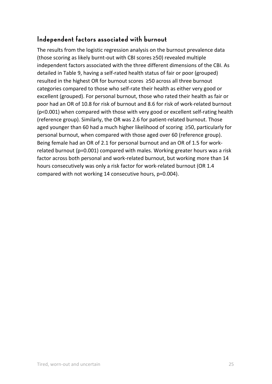## **Independent factors associated with burnout**

The results from the logistic regression analysis on the burnout prevalence data (those scoring as likely burnt‐out with CBI scores ≥50) revealed multiple independent factors associated with the three different dimensions of the CBI. As detailed in Table 9, having a self‐rated health status of fair or poor (grouped) resulted in the highest OR for burnout scores  ≥50 across all three burnout categories compared to those who self‐rate their health as either very good or excellent (grouped). For personal burnout, those who rated their health as fair or poor had an OR of 10.8 for risk of burnout and 8.6 for risk of work‐related burnout (p<0.001) when compared with those with very good or excellent self‐rating health (reference group). Similarly, the OR was 2.6 for patient‐related burnout. Those aged younger than 60 had a much higher likelihood of scoring  ≥50, particularly for personal burnout, when compared with those aged over 60 (reference group). Being female had an OR of 2.1 for personal burnout and an OR of 1.5 for work‐ related burnout (p=0.001) compared with males. Working greater hours was a risk factor across both personal and work-related burnout, but working more than 14 hours consecutively was only a risk factor for work‐related burnout (OR 1.4 compared with not working 14 consecutive hours, p=0.004).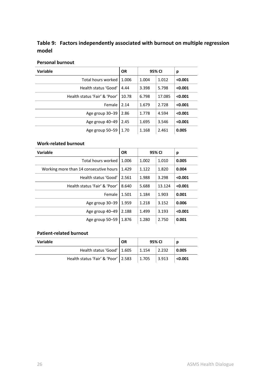#### **Table 9: Factors independently associated with burnout on multiple regression model**

#### **Personal burnout**

| <b>Variable</b>               | <b>OR</b> | 95% CI |        | р       |
|-------------------------------|-----------|--------|--------|---------|
| Total hours worked            | 1.006     | 1.004  | 1.012  | < 0.001 |
| Health status 'Good'          | 4.44      | 3.398  | 5.798  | < 0.001 |
| Health status 'Fair' & 'Poor' | 10.78     | 6.798  | 17.085 | < 0.001 |
| Female                        | 2.14      | 1.679  | 2.728  | < 0.001 |
| Age group 30-39               | 2.86      | 1.778  | 4.594  | < 0.001 |
| Age group 40-49               | 2.45      | 1.695  | 3.546  | < 0.001 |
| Age group 50-59               | 1.70      | 1.168  | 2.461  | 0.005   |

#### **Work‐related burnout**

| <b>Variable</b>                        | <b>OR</b> |       | 95% CI | р       |
|----------------------------------------|-----------|-------|--------|---------|
| Total hours worked                     | 1.006     | 1.002 | 1.010  | 0.005   |
| Working more than 14 consecutive hours | 1.429     | 1.122 | 1.820  | 0.004   |
| Health status 'Good'                   | 2.561     | 1.988 | 3.298  | < 0.001 |
| Health status 'Fair' & 'Poor'          | 8.640     | 5.688 | 13.124 | < 0.001 |
| Female                                 | 1.501     | 1.184 | 1.903  | 0.001   |
| Age group 30-39                        | 1.959     | 1.218 | 3.152  | 0.006   |
| Age group 40-49                        | 2.188     | 1.499 | 3.193  | < 0.001 |
| Age group 50-59                        | 1.876     | 1.280 | 2.750  | 0.001   |

#### **Patient‐related burnout**

| Variable                              | <b>OR</b> | 95% CI        |       |         |
|---------------------------------------|-----------|---------------|-------|---------|
| Health status 'Good'   1.605          |           | $\vert$ 1.154 | 2.232 | 0.005   |
| Health status 'Fair' & 'Poor'   2.583 |           | 1.705         | 3.913 | < 0.001 |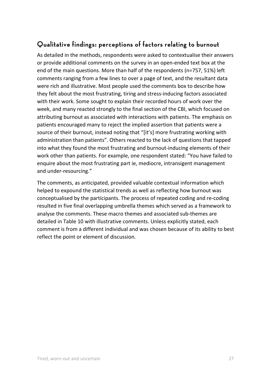### **Qualitative findings: perceptions of factors relating to burnout**

As detailed in the methods, respondents were asked to contextualise their answers or provide additional comments on the survey in an open‐ended text box at the end of the main questions. More than half of the respondents (n=757, 51%) left comments ranging from a few lines to over a page of text, and the resultant data were rich and illustrative. Most people used the comments box to describe how they felt about the most frustrating, tiring and stress‐inducing factors associated with their work. Some sought to explain their recorded hours of work over the week, and many reacted strongly to the final section of the CBI, which focused on attributing burnout as associated with interactions with patients. The emphasis on patients encouraged many to reject the implied assertion that patients were a source of their burnout, instead noting that "[it's] more frustrating working with administration than patients". Others reacted to the lack of questions that tapped into what they found the most frustrating and burnout-inducing elements of their work other than patients. For example, one respondent stated: "You have failed to enquire about the most frustrating part ie, mediocre, intransigent management and under‐resourcing."

The comments, as anticipated, provided valuable contextual information which helped to expound the statistical trends as well as reflecting how burnout was conceptualised by the participants. The process of repeated coding and re‐coding resulted in five final overlapping umbrella themes which served as a framework to analyse the comments. These macro themes and associated sub‐themes are detailed in Table 10 with illustrative comments. Unless explicitly stated, each comment is from a different individual and was chosen because of its ability to best reflect the point or element of discussion.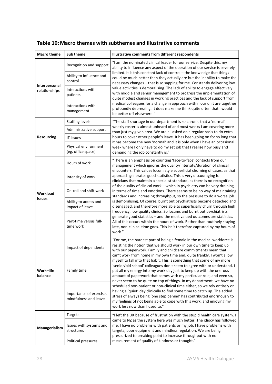| <b>Macro theme</b>             | Sub theme                                        | Illustrative comments from different respondents                                                                                                                                                                                                                                                                                                                           |  |  |  |  |  |
|--------------------------------|--------------------------------------------------|----------------------------------------------------------------------------------------------------------------------------------------------------------------------------------------------------------------------------------------------------------------------------------------------------------------------------------------------------------------------------|--|--|--|--|--|
|                                | Recognition and support                          | "I am the nominated clinical leader for our service. Despite this, my<br>ability to influence any aspect of the operation of our service is severely<br>limited. It is this constant lack of control - the knowledge that things                                                                                                                                           |  |  |  |  |  |
|                                | Ability to influence and<br>control              | could be much better than they actually are but the inability to make the<br>necessary changes - that is so sapping for me. Constantly delivering low                                                                                                                                                                                                                      |  |  |  |  |  |
| Interpersonal<br>relationships | Interactions with<br>patients                    | value activities is demoralising. The lack of ability to engage effectively<br>with middle and senior management to progress the implementation of<br>quite modest changes in working practices and the lack of support from                                                                                                                                               |  |  |  |  |  |
|                                | Interactions with<br>management                  | medical colleagues for a change in approach within our unit are together<br>profoundly depressing. It does make me think quite often that I would<br>be better off elsewhere."                                                                                                                                                                                             |  |  |  |  |  |
|                                | <b>Staffing levels</b>                           | "The staff shortage in our department is so chronic that a 'normal'                                                                                                                                                                                                                                                                                                        |  |  |  |  |  |
|                                | Administrative support                           | weekly roster is almost unheard of and most weeks I am covering more<br>than just my given area. We are all asked on a regular basis to do extra                                                                                                                                                                                                                           |  |  |  |  |  |
| <b>Resourcing</b>              | IT issues                                        | hours to cover other people's leave. It has been going on for so long that                                                                                                                                                                                                                                                                                                 |  |  |  |  |  |
|                                | Physical environment<br>(eg, office space)       | it has become the new 'normal' and it is only when I have an occasional<br>week where I only have to do my set job that I realise how busy and<br>demanding the job constantly is."                                                                                                                                                                                        |  |  |  |  |  |
|                                | Hours of work                                    | "There is an emphasis on counting 'face-to-face' contacts from our<br>management which ignores the quality/intensity/duration of clinical<br>encounters. This values locum style superficial churning of cases, as that                                                                                                                                                    |  |  |  |  |  |
| Workload<br>issues             | Intensity of work                                | approach generates good statistics. This is very discouraging for<br>clinicians that maintain a specialist standard, as there is no recognition                                                                                                                                                                                                                            |  |  |  |  |  |
|                                | On-call and shift work                           | of the quality of clinical work - which in psychiatry can be very draining,<br>in terms of time and emotions. There seems to be no way of maintaining<br>standards and increasing throughput, so the pressure to do a worse job                                                                                                                                            |  |  |  |  |  |
|                                | Ability to access and<br>impact of leave         | is demoralising. Of course, burnt out psychiatrists become detached and<br>disengaged, and therefore more able to superficially churn through high                                                                                                                                                                                                                         |  |  |  |  |  |
|                                | Part-time versus full-<br>time work              | frequency, low quality clinics. So locums and burnt out psychiatrists<br>generate good statistics - and the most valued outcomes are statistics.<br>All of this occurs within the hours of work. Rather than routinely staying<br>late, non-clinical time goes. This isn't therefore captured by my hours of<br>work."                                                     |  |  |  |  |  |
|                                | Impact of dependents                             | "For me, the hardest part of being a female in the medical workforce is<br>resisting the notion that we should work in our own time to keep up<br>with our paperwork. Family and childcare commitments mean that I<br>can't work from home in my own time and, quite frankly, I won't allow                                                                                |  |  |  |  |  |
| Work-life<br>balance           | Family time                                      | myself to fall into that habit. This is something that some of my more<br>'senior/old school' colleagues don't seem to agree with or understand. I<br>put all my energy into my work day just to keep up with the onerous<br>amount of paperwork that comes with my particular role, and even so,<br>never seem to be quite on top of things. In my department, we have no |  |  |  |  |  |
|                                | Importance of exercise,<br>mindfulness and leave | scheduled non-patient or non-clinical time either, so we rely entirely on<br>having a 'quiet' day clinically to find some time to catch up. The added<br>stress of always being 'one step behind' has contributed enormously to<br>my feelings of not being able to cope with this work, and enjoying my<br>work less now than I used to."                                 |  |  |  |  |  |
|                                | Targets                                          | "I left the UK because of frustration with the stupid health care system. I                                                                                                                                                                                                                                                                                                |  |  |  |  |  |
| Managerialism                  | Issues with systems and<br>structures            | came to NZ as the system here was much better. The idiocy has followed<br>me. I have no problems with patients or my job. I have problems with<br>targets, poor equipment and mindless regulation. We are being<br>pressurized to breaking point to increase throughput with no                                                                                            |  |  |  |  |  |
|                                | Political pressures                              | measurement of quality of kindness or thought."                                                                                                                                                                                                                                                                                                                            |  |  |  |  |  |

#### **Table 10: Macro themes with subthemes and illustrative comments**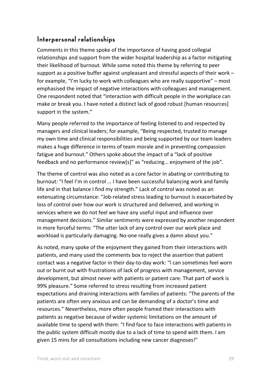### **Interpersonal relationships**

Comments in this theme spoke of the importance of having good collegial relationships and support from the wider hospital leadership as a factor mitigating their likelihood of burnout. While some noted this theme by referring to peer support as a positive buffer against unpleasant and stressful aspects of their work – for example, "I'm lucky to work with colleagues who are really supportive" – most emphasised the impact of negative interactions with colleagues and management. One respondent noted that "interaction with difficult people in the workplace can make or break you. I have noted a distinct lack of good robust [human resources] support in the system."

Many people referred to the importance of feeling listened to and respected by managers and clinical leaders; for example, "Being respected, trusted to manage my own time and clinical responsibilities and being supported by our team leaders makes a huge difference in terms of team morale and in preventing compassion fatigue and burnout." Others spoke about the impact of a "lack of positive feedback and no performance review[s]" as "reducing… enjoyment of the job".

The theme of control was also noted as a core factor in abating or contributing to burnout: "I feel I'm in control … I have been successful balancing work and family life and in that balance I find my strength." Lack of control was noted as an extenuating circumstance: "Job-related stress leading to burnout is exacerbated by loss of control over how our work is structured and delivered, and working in services where we do not feel we have any useful input and influence over management decisions." Similar sentiments were expressed by another respondent in more forceful terms: "The utter lack of any control over our work place and workload is particularly damaging. No-one really gives a damn about you."

As noted, many spoke of the enjoyment they gained from their interactions with patients, and many used the comments box to reject the assertion that patient contact was a negative factor in their day‐to‐day work: "I can sometimes feel worn out or burnt out with frustrations of lack of progress with management, service development, but almost never with patients or patient care. That part of work is 99% pleasure." Some referred to stress resulting from increased patient expectations and draining interactions with families of patients: "The parents of the patients are often very anxious and can be demanding of a doctor's time and resources." Nevertheless, more often people framed their interactions with patients as negative because of wider systemic limitations on the amount of available time to spend with them: "I find face to face interactions with patients in the public system difficult mostly due to a lack of time to spend with them. I am given 15 mins for all consultations including new cancer diagnoses!"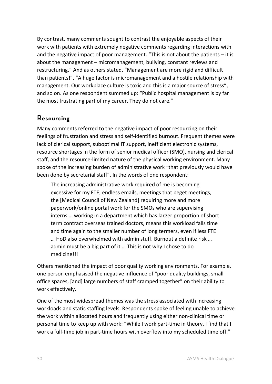By contrast, many comments sought to contrast the enjoyable aspects of their work with patients with extremely negative comments regarding interactions with and the negative impact of poor management. "This is not about the patients – it is about the management – micromanagement, bullying, constant reviews and restructuring." And as others stated, "Management are more rigid and difficult than patients!", "A huge factor is micromanagement and a hostile relationship with management. Our workplace culture is toxic and this is a major source of stress", and so on. As one respondent summed up: "Public hospital management is by far the most frustrating part of my career. They do not care."

#### **Resourcing**

Many comments referred to the negative impact of poor resourcing on their feelings of frustration and stress and self‐identified burnout. Frequent themes were lack of clerical support, suboptimal IT support, inefficient electronic systems, resource shortages in the form of senior medical officer (SMO), nursing and clerical staff, and the resource‐limited nature of the physical working environment. Many spoke of the increasing burden of administrative work "that previously would have been done by secretarial staff". In the words of one respondent:

The increasing administrative work required of me is becoming excessive for my FTE; endless emails, meetings that beget meetings, the [Medical Council of New Zealand] requiring more and more paperwork/online portal work for the SMOs who are supervising interns … working in a department which has larger proportion of short term contract overseas trained doctors, means this workload falls time and time again to the smaller number of long termers, even if less FTE … HoD also overwhelmed with admin stuff. Burnout a definite risk … admin must be a big part of it … This is not why I chose to do medicine!!!

Others mentioned the impact of poor quality working environments. For example, one person emphasised the negative influence of "poor quality buildings, small office spaces, [and] large numbers of staff cramped together" on their ability to work effectively.

One of the most widespread themes was the stress associated with increasing workloads and static staffing levels. Respondents spoke of feeling unable to achieve the work within allocated hours and frequently using either non‐clinical time or personal time to keep up with work: "While I work part‐time in theory, I find that I work a full-time job in part-time hours with overflow into my scheduled time off."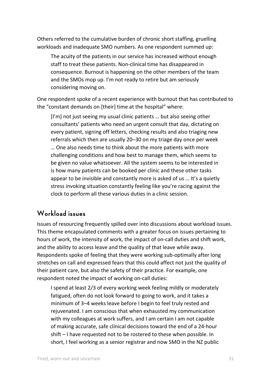Others referred to the cumulative burden of chronic short staffing, gruelling workloads and inadequate SMO numbers. As one respondent summed up:

The acuity of the patients in our service has increased without enough staff to treat these patients. Non‐clinical time has disappeared in consequence. Burnout is happening on the other members of the team and the SMOs mop up. I'm not ready to retire but am seriously considering moving on.

One respondent spoke of a recent experience with burnout that has contributed to the "constant demands on [their] time at the hospital" where:

[I'm] not just seeing my usual clinic patients ... but also seeing other consultants' patients who need an urgent consult that day, dictating on every patient, signing off letters, checking results and also triaging new referrals which then are usually 20–30 on my triage day once per week … One also needs time to think about the more patients with more challenging conditions and how best to manage them, which seems to be given no value whatsoever. All the system seems to be interested in is how many patients can be booked per clinic and these other tasks appear to be invisible and constantly more is asked of us … It's a quietly stress invoking situation constantly feeling like you're racing against the clock to perform all these various duties in a clinic session.

#### **Workload issues**

Issues of resourcing frequently spilled over into discussions about workload issues. This theme encapsulated comments with a greater focus on issues pertaining to hours of work, the intensity of work, the impact of on‐call duties and shift work, and the ability to access leave and the quality of that leave while away. Respondents spoke of feeling that they were working sub‐optimally after long stretches on call and expressed fears that this could affect not just the quality of their patient care, but also the safety of their practice. For example, one respondent noted the impact of working on‐call duties:

I spend at least 2/3 of every working week feeling mildly or moderately fatigued, often do not look forward to going to work, and it takes a minimum of 3–4 weeks leave before I begin to feel truly rested and rejuvenated. I am conscious that when exhausted my communication with my colleagues at work suffers, and I am certain I am not capable of making accurate, safe clinical decisions toward the end of a 24‐hour shift – I have requested not to be rostered to these when possible. In short, I feel working as a senior registrar and now SMO in the NZ public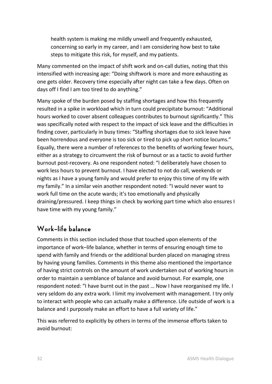health system is making me mildly unwell and frequently exhausted, concerning so early in my career, and I am considering how best to take steps to mitigate this risk, for myself, and my patients.

Many commented on the impact of shift work and on‐call duties, noting that this intensified with increasing age: "Doing shiftwork is more and more exhausting as one gets older. Recovery time especially after night can take a few days. Often on days off I find I am too tired to do anything."

Many spoke of the burden posed by staffing shortages and how this frequently resulted in a spike in workload which in turn could precipitate burnout: "Additional hours worked to cover absent colleagues contributes to burnout significantly." This was specifically noted with respect to the impact of sick leave and the difficulties in finding cover, particularly in busy times: "Staffing shortages due to sick leave have been horrendous and everyone is too sick or tired to pick up short notice locums." Equally, there were a number of references to the benefits of working fewer hours, either as a strategy to circumvent the risk of burnout or as a tactic to avoid further burnout post‐recovery. As one respondent noted: "I deliberately have chosen to work less hours to prevent burnout. I have elected to not do call, weekends or nights as I have a young family and would prefer to enjoy this time of my life with my family." In a similar vein another respondent noted: "I would never want to work full time on the acute wards; it's too emotionally and physically draining/pressured. I keep things in check by working part time which also ensures I have time with my young family."

### **Work–life balance**

Comments in this section included those that touched upon elements of the importance of work–life balance, whether in terms of ensuring enough time to spend with family and friends or the additional burden placed on managing stress by having young families. Comments in this theme also mentioned the importance of having strict controls on the amount of work undertaken out of working hours in order to maintain a semblance of balance and avoid burnout. For example, one respondent noted: "I have burnt out in the past … Now I have reorganised my life. I very seldom do any extra work. I limit my involvement with management. I try only to interact with people who can actually make a difference. Life outside of work is a balance and I purposely make an effort to have a full variety of life."

This was referred to explicitly by others in terms of the immense efforts taken to avoid burnout: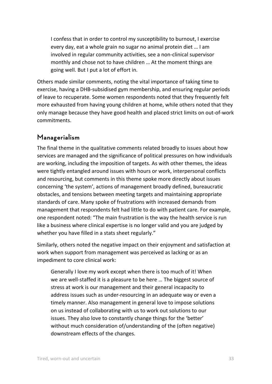I confess that in order to control my susceptibility to burnout, I exercise every day, eat a whole grain no sugar no animal protein diet … I am involved in regular community activities, see a non‐clinical supervisor monthly and chose not to have children … At the moment things are going well. But I put a lot of effort in.

Others made similar comments, noting the vital importance of taking time to exercise, having a DHB‐subsidised gym membership, and ensuring regular periods of leave to recuperate. Some women respondents noted that they frequently felt more exhausted from having young children at home, while others noted that they only manage because they have good health and placed strict limits on out‐of‐work commitments.

#### **Managerialism**

The final theme in the qualitative comments related broadly to issues about how services are managed and the significance of political pressures on how individuals are working, including the imposition of targets. As with other themes, the ideas were tightly entangled around issues with hours or work, interpersonal conflicts and resourcing, but comments in this theme spoke more directly about issues concerning 'the system', actions of management broadly defined, bureaucratic obstacles, and tensions between meeting targets and maintaining appropriate standards of care. Many spoke of frustrations with increased demands from management that respondents felt had little to do with patient care. For example, one respondent noted: "The main frustration is the way the health service is run like a business where clinical expertise is no longer valid and you are judged by whether you have filled in a stats sheet regularly."

Similarly, others noted the negative impact on their enjoyment and satisfaction at work when support from management was perceived as lacking or as an impediment to core clinical work:

Generally I love my work except when there is too much of it! When we are well-staffed it is a pleasure to be here ... The biggest source of stress at work is our management and their general incapacity to address issues such as under‐resourcing in an adequate way or even a timely manner. Also management in general love to impose solutions on us instead of collaborating with us to work out solutions to our issues. They also love to constantly change things for the 'better' without much consideration of/understanding of the (often negative) downstream effects of the changes.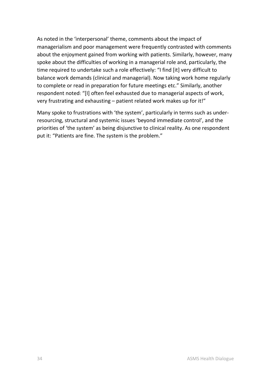As noted in the 'interpersonal' theme, comments about the impact of managerialism and poor management were frequently contrasted with comments about the enjoyment gained from working with patients. Similarly, however, many spoke about the difficulties of working in a managerial role and, particularly, the time required to undertake such a role effectively: "I find [it] very difficult to balance work demands (clinical and managerial). Now taking work home regularly to complete or read in preparation for future meetings etc." Similarly, another respondent noted: "[I] often feel exhausted due to managerial aspects of work, very frustrating and exhausting – patient related work makes up for it!"

Many spoke to frustrations with 'the system', particularly in terms such as under‐ resourcing, structural and systemic issues 'beyond immediate control', and the priorities of 'the system' as being disjunctive to clinical reality. As one respondent put it: "Patients are fine. The system is the problem."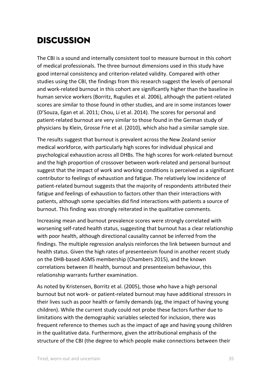# Discussion

The CBI is a sound and internally consistent tool to measure burnout in this cohort of medical professionals. The three burnout dimensions used in this study have good internal consistency and criterion‐related validity. Compared with other studies using the CBI, the findings from this research suggest the levels of personal and work‐related burnout in this cohort are significantly higher than the baseline in human service workers (Borritz, Rugulies et al. 2006), although the patient‐related scores are similar to those found in other studies, and are in some instances lower (D'Souza, Egan et al. 2011; Chou, Li et al. 2014). The scores for personal and patient‐related burnout are very similar to those found in the German study of physicians by Klein, Grosse Frie et al. (2010), which also had a similar sample size.

The results suggest that burnout is prevalent across the New Zealand senior medical workforce, with particularly high scores for individual physical and psychological exhaustion across all DHBs. The high scores for work‐related burnout and the high proportion of crossover between work‐related and personal burnout suggest that the impact of work and working conditions is perceived as a significant contributor to feelings of exhaustion and fatigue. The relatively low incidence of patient-related burnout suggests that the majority of respondents attributed their fatigue and feelings of exhaustion to factors other than their interactions with patients, although some specialties did find interactions with patients a source of burnout. This finding was strongly reiterated in the qualitative comments.

Increasing mean and burnout prevalence scores were strongly correlated with worsening self-rated health status, suggesting that burnout has a clear relationship with poor health, although directional causality cannot be inferred from the findings. The multiple regression analysis reinforces the link between burnout and health status. Given the high rates of presenteeism found in another recent study on the DHB‐based ASMS membership (Chambers 2015), and the known correlations between ill health, burnout and presenteeism behaviour, this relationship warrants further examination.

As noted by Kristensen, Borritz et al. (2005), those who have a high personal burnout but not work‐ or patient‐related burnout may have additional stressors in their lives such as poor health or family demands (eg, the impact of having young children). While the current study could not probe these factors further due to limitations with the demographic variables selected for inclusion, there was frequent reference to themes such as the impact of age and having young children in the qualitative data. Furthermore, given the attributional emphasis of the structure of the CBI (the degree to which people make connections between their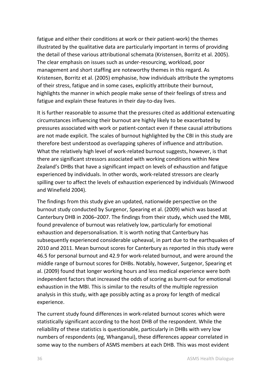fatigue and either their conditions at work or their patient‐work) the themes illustrated by the qualitative data are particularly important in terms of providing the detail of these various attributional schemata (Kristensen, Borritz et al. 2005). The clear emphasis on issues such as under‐resourcing, workload, poor management and short staffing are noteworthy themes in this regard. As Kristensen, Borritz et al. (2005) emphasise, how individuals attribute the symptoms of their stress, fatigue and in some cases, explicitly attribute their burnout, highlights the manner in which people make sense of their feelings of stress and fatigue and explain these features in their day‐to‐day lives.

It is further reasonable to assume that the pressures cited as additional extenuating circumstances influencing their burnout are highly likely to be exacerbated by pressures associated with work or patient‐contact even if these causal attributions are not made explicit. The scales of burnout highlighted by the CBI in this study are therefore best understood as overlapping spheres of influence and attribution. What the relatively high level of work-related burnout suggests, however, is that there are significant stressors associated with working conditions within New Zealand's DHBs that have a significant impact on levels of exhaustion and fatigue experienced by individuals. In other words, work‐related stressors are clearly spilling over to affect the levels of exhaustion experienced by individuals (Winwood and Winefield 2004).

The findings from this study give an updated, nationwide perspective on the burnout study conducted by Surgenor, Spearing et al. (2009) which was based at Canterbury DHB in 2006–2007. The findings from their study, which used the MBI, found prevalence of burnout was relatively low, particularly for emotional exhaustion and depersonalisation. It is worth noting that Canterbury has subsequently experienced considerable upheaval, in part due to the earthquakes of 2010 and 2011. Mean burnout scores for Canterbury as reported in this study were 46.5 for personal burnout and 42.9 for work‐related burnout, and were around the middle range of burnout scores for DHBs. Notably, however, Surgenor, Spearing et al. (2009) found that longer working hours and less medical experience were both independent factors that increased the odds of scoring as burnt‐out for emotional exhaustion in the MBI. This is similar to the results of the multiple regression analysis in this study, with age possibly acting as a proxy for length of medical experience.

The current study found differences in work‐related burnout scores which were statistically significant according to the host DHB of the respondent. While the reliability of these statistics is questionable, particularly in DHBs with very low numbers of respondents (eg, Whanganui), these differences appear correlated in some way to the numbers of ASMS members at each DHB. This was most evident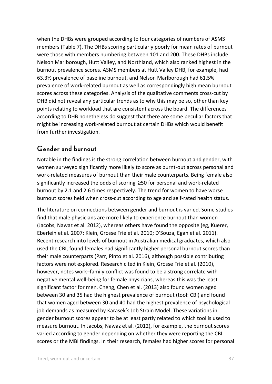when the DHBs were grouped according to four categories of numbers of ASMS members (Table 7). The DHBs scoring particularly poorly for mean rates of burnout were those with members numbering between 101 and 200. These DHBs include Nelson Marlborough, Hutt Valley, and Northland, which also ranked highest in the burnout prevalence scores. ASMS members at Hutt Valley DHB, for example, had 63.3% prevalence of baseline burnout, and Nelson Marlborough had 61.5% prevalence of work‐related burnout as well as correspondingly high mean burnout scores across these categories. Analysis of the qualitative comments cross-cut by DHB did not reveal any particular trends as to why this may be so, other than key points relating to workload that are consistent across the board. The differences according to DHB nonetheless do suggest that there are some peculiar factors that might be increasing work‐related burnout at certain DHBs which would benefit from further investigation.

### **Gender and burnout**

Notable in the findings is the strong correlation between burnout and gender, with women surveyed significantly more likely to score as burnt‐out across personal and work-related measures of burnout than their male counterparts. Being female also significantly increased the odds of scoring  ≥50 for personal and work‐related burnout by 2.1 and 2.6 times respectively. The trend for women to have worse burnout scores held when cross‐cut according to age and self‐rated health status.

The literature on connections between gender and burnout is varied. Some studies find that male physicians are more likely to experience burnout than women (Jacobs, Nawaz et al. 2012), whereas others have found the opposite (eg, Kuerer, Eberlein et al. 2007; Klein, Grosse Frie et al. 2010; D'Souza, Egan et al. 2011). Recent research into levels of burnout in Australian medical graduates, which also used the CBI, found females had significantly higher personal burnout scores than their male counterparts (Parr, Pinto et al. 2016), although possible contributing factors were not explored. Research cited in Klein, Grosse Frie et al. (2010), however, notes work–family conflict was found to be a strong correlate with negative mental well‐being for female physicians, whereas this was the least significant factor for men. Cheng, Chen et al. (2013) also found women aged between 30 and 35 had the highest prevalence of burnout (tool: CBI) and found that women aged between 30 and 40 had the highest prevalence of psychological job demands as measured by Karasek's Job Strain Model. These variations in gender burnout scores appear to be at least partly related to which tool is used to measure burnout. In Jacobs, Nawaz et al. (2012), for example, the burnout scores varied according to gender depending on whether they were reporting the CBI scores or the MBI findings. In their research, females had higher scores for personal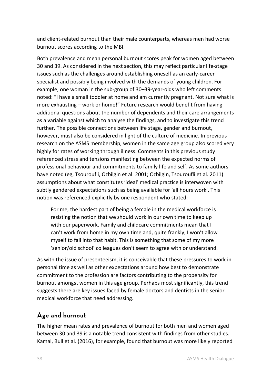and client-related burnout than their male counterparts, whereas men had worse burnout scores according to the MBI.

Both prevalence and mean personal burnout scores peak for women aged between 30 and 39. As considered in the next section, this may reflect particular life‐stage issues such as the challenges around establishing oneself as an early‐career specialist and possibly being involved with the demands of young children. For example, one woman in the sub‐group of 30–39‐year‐olds who left comments noted: "I have a small toddler at home and am currently pregnant. Not sure what is more exhausting – work or home!" Future research would benefit from having additional questions about the number of dependents and their care arrangements as a variable against which to analyse the findings, and to investigate this trend further. The possible connections between life stage, gender and burnout, however, must also be considered in light of the culture of medicine. In previous research on the ASMS membership, women in the same age group also scored very highly for rates of working through illness. Comments in this previous study referenced stress and tensions manifesting between the expected norms of professional behaviour and commitments to family life and self. As some authors have noted (eg, Tsouroufli, Ozbilgin et al. 2001; Ozbilgin, Tsouroufli et al. 2011) assumptions about what constitutes 'ideal' medical practice is interwoven with subtly gendered expectations such as being available for 'all hours work'. This notion was referenced explicitly by one respondent who stated:

For me, the hardest part of being a female in the medical workforce is resisting the notion that we should work in our own time to keep up with our paperwork. Family and childcare commitments mean that I can't work from home in my own time and, quite frankly, I won't allow myself to fall into that habit. This is something that some of my more 'senior/old school' colleagues don't seem to agree with or understand.

As with the issue of presenteeism, it is conceivable that these pressures to work in personal time as well as other expectations around how best to demonstrate commitment to the profession are factors contributing to the propensity for burnout amongst women in this age group. Perhaps most significantly, this trend suggests there are key issues faced by female doctors and dentists in the senior medical workforce that need addressing.

#### **Age and burnout**

The higher mean rates and prevalence of burnout for both men and women aged between 30 and 39 is a notable trend consistent with findings from other studies. Kamal, Bull et al. (2016), for example, found that burnout was more likely reported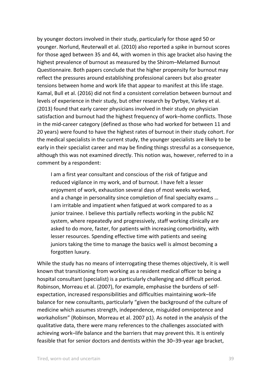by younger doctors involved in their study, particularly for those aged 50 or younger. Norlund, Reuterwall et al. (2010) also reported a spike in burnout scores for those aged between 35 and 44, with women in this age bracket also having the highest prevalence of burnout as measured by the Shirom–Melamed Burnout Questionnaire*.* Both papers conclude that the higher propensity for burnout may reflect the pressures around establishing professional careers but also greater tensions between home and work life that appear to manifest at this life stage. Kamal, Bull et al. (2016) did not find a consistent correlation between burnout and levels of experience in their study, but other research by Dyrbye, Varkey et al. (2013) found that early career physicians involved in their study on physician satisfaction and burnout had the highest frequency of work–home conflicts. Those in the mid-career category (defined as those who had worked for between 11 and 20 years) were found to have the highest rates of burnout in their study cohort. For the medical specialists in the current study, the younger specialists are likely to be early in their specialist career and may be finding things stressful as a consequence, although this was not examined directly. This notion was, however, referred to in a comment by a respondent:

I am a first year consultant and conscious of the risk of fatigue and reduced vigilance in my work, and of burnout. I have felt a lesser enjoyment of work, exhaustion several days of most weeks worked, and a change in personality since completion of final specialty exams … I am irritable and impatient when fatigued at work compared to as a junior trainee. I believe this partially reflects working in the public NZ system, where repeatedly and progressively, staff working clinically are asked to do more, faster, for patients with increasing comorbidity, with lesser resources. Spending effective time with patients and seeing juniors taking the time to manage the basics well is almost becoming a forgotten luxury.

While the study has no means of interrogating these themes objectively, it is well known that transitioning from working as a resident medical officer to being a hospital consultant (specialist) is a particularly challenging and difficult period. Robinson, Morreau et al. (2007), for example, emphasise the burdens of self‐ expectation, increased responsibilities and difficulties maintaining work–life balance for new consultants, particularly "given the background of the culture of medicine which assumes strength, independence, misguided omnipotence and workaholism" (Robinson, Morreau et al. 2007 p1). As noted in the analysis of the qualitative data, there were many references to the challenges associated with achieving work–life balance and the barriers that may prevent this. It is entirely feasible that for senior doctors and dentists within the 30–39‐year age bracket,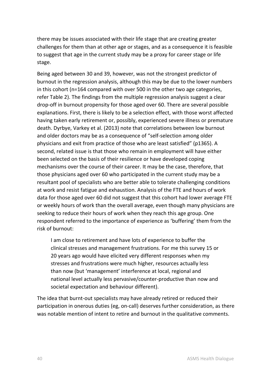there may be issues associated with their life stage that are creating greater challenges for them than at other age or stages, and as a consequence it is feasible to suggest that age in the current study may be a proxy for career stage or life stage.

Being aged between 30 and 39, however, was not the strongest predictor of burnout in the regression analysis, although this may be due to the lower numbers in this cohort (n=164 compared with over 500 in the other two age categories, refer Table 2). The findings from the multiple regression analysis suggest a clear drop‐off in burnout propensity for those aged over 60. There are several possible explanations. First, there is likely to be a selection effect, with those worst affected having taken early retirement or, possibly, experienced severe illness or premature death. Dyrbye, Varkey et al. (2013) note that correlations between low burnout and older doctors may be as a consequence of "self‐selection among older physicians and exit from practice of those who are least satisfied" (p1365). A second, related issue is that those who remain in employment will have either been selected on the basis of their resilience or have developed coping mechanisms over the course of their career. It may be the case, therefore, that those physicians aged over 60 who participated in the current study may be a resultant pool of specialists who are better able to tolerate challenging conditions at work and resist fatigue and exhaustion. Analysis of the FTE and hours of work data for those aged over 60 did not suggest that this cohort had lower average FTE or weekly hours of work than the overall average, even though many physicians are seeking to reduce their hours of work when they reach this age group. One respondent referred to the importance of experience as 'buffering' them from the risk of burnout:

I am close to retirement and have lots of experience to buffer the clinical stresses and management frustrations. For me this survey 15 or 20 years ago would have elicited very different responses when my stresses and frustrations were much higher, resources actually less than now (but 'management' interference at local, regional and national level actually less pervasive/counter‐productive than now and societal expectation and behaviour different).

The idea that burnt-out specialists may have already retired or reduced their participation in onerous duties (eg, on-call) deserves further consideration, as there was notable mention of intent to retire and burnout in the qualitative comments.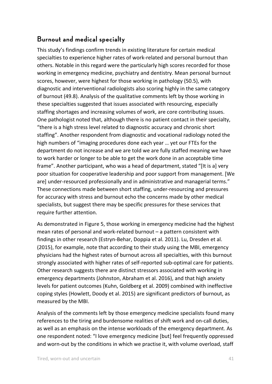### **Burnout and medical specialty**

This study's findings confirm trends in existing literature for certain medical specialties to experience higher rates of work‐related and personal burnout than others. Notable in this regard were the particularly high scores recorded for those working in emergency medicine, psychiatry and dentistry. Mean personal burnout scores, however, were highest for those working in pathology (50.5), with diagnostic and interventional radiologists also scoring highly in the same category of burnout (49.8). Analysis of the qualitative comments left by those working in these specialties suggested that issues associated with resourcing, especially staffing shortages and increasing volumes of work, are core contributing issues. One pathologist noted that, although there is no patient contact in their specialty, "there is a high stress level related to diagnostic accuracy and chronic short staffing". Another respondent from diagnostic and vocational radiology noted the high numbers of "imaging procedures done each year … yet our FTEs for the department do not increase and we are told we are fully staffed meaning we have to work harder or longer to be able to get the work done in an acceptable time frame". Another participant, who was a head of department, stated "[It is a] very poor situation for cooperative leadership and poor support from management. [We are] under-resourced professionally and in administrative and managerial terms." These connections made between short staffing, under‐resourcing and pressures for accuracy with stress and burnout echo the concerns made by other medical specialists, but suggest there may be specific pressures for these services that require further attention.

As demonstrated in Figure 5, those working in emergency medicine had the highest mean rates of personal and work‐related burnout – a pattern consistent with findings in other research (Estryn‐Behar, Doppia et al. 2011). Lu, Dresden et al. (2015), for example, note that according to their study using the MBI, emergency physicians had the highest rates of burnout across all specialties, with this burnout strongly associated with higher rates of self‐reported sub‐optimal care for patients. Other research suggests there are distinct stressors associated with working in emergency departments (Johnston, Abraham et al. 2016), and that high anxiety levels for patient outcomes (Kuhn, Goldberg et al. 2009) combined with ineffective coping styles (Howlett, Doody et al. 2015) are significant predictors of burnout, as measured by the MBI.

Analysis of the comments left by those emergency medicine specialists found many references to the tiring and burdensome realities of shift work and on‐call duties, as well as an emphasis on the intense workloads of the emergency department. As one respondent noted: "I love emergency medicine [but] feel frequently oppressed and worn-out by the conditions in which we practise it, with volume overload, staff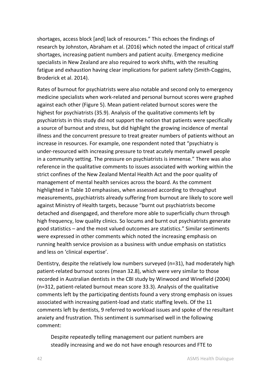shortages, access block [and] lack of resources." This echoes the findings of research by Johnston, Abraham et al. (2016) which noted the impact of critical staff shortages, increasing patient numbers and patient acuity. Emergency medicine specialists in New Zealand are also required to work shifts, with the resulting fatigue and exhaustion having clear implications for patient safety (Smith‐Coggins, Broderick et al. 2014).

Rates of burnout for psychiatrists were also notable and second only to emergency medicine specialists when work‐related and personal burnout scores were graphed against each other (Figure 5). Mean patient‐related burnout scores were the highest for psychiatrists (35.9). Analysis of the qualitative comments left by psychiatrists in this study did not support the notion that patients were specifically a source of burnout and stress, but did highlight the growing incidence of mental illness and the concurrent pressure to treat greater numbers of patients without an increase in resources. For example, one respondent noted that "psychiatry is under‐resourced with increasing pressure to treat acutely mentally unwell people in a community setting. The pressure on psychiatrists is immense." There was also reference in the qualitative comments to issues associated with working within the strict confines of the New Zealand Mental Health Act and the poor quality of management of mental health services across the board. As the comment highlighted in Table 10 emphasises, when assessed according to throughput measurements, psychiatrists already suffering from burnout are likely to score well against Ministry of Health targets, because "burnt out psychiatrists become detached and disengaged, and therefore more able to superficially churn through high frequency, low quality clinics. So locums and burnt out psychiatrists generate good statistics – and the most valued outcomes are statistics." Similar sentiments were expressed in other comments which noted the increasing emphasis on running health service provision as a business with undue emphasis on statistics and less on 'clinical expertise'.

Dentistry, despite the relatively low numbers surveyed (n=31), had moderately high patient‐related burnout scores (mean 32.8), which were very similar to those recorded in Australian dentists in the CBI study by Winwood and Winefield (2004) (n=312, patient‐related burnout mean score 33.3). Analysis of the qualitative comments left by the participating dentists found a very strong emphasis on issues associated with increasing patient‐load and static staffing levels. Of the 11 comments left by dentists, 9 referred to workload issues and spoke of the resultant anxiety and frustration. This sentiment is summarised well in the following comment:

Despite repeatedly telling management our patient numbers are steadily increasing and we do not have enough resources and FTE to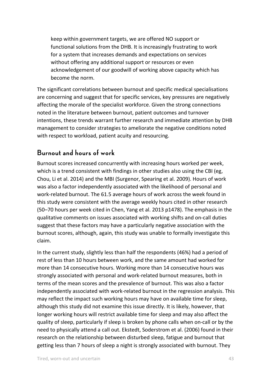keep within government targets, we are offered NO support or functional solutions from the DHB. It is increasingly frustrating to work for a system that increases demands and expectations on services without offering any additional support or resources or even acknowledgement of our goodwill of working above capacity which has become the norm.

The significant correlations between burnout and specific medical specialisations are concerning and suggest that for specific services, key pressures are negatively affecting the morale of the specialist workforce. Given the strong connections noted in the literature between burnout, patient outcomes and turnover intentions, these trends warrant further research and immediate attention by DHB management to consider strategies to ameliorate the negative conditions noted with respect to workload, patient acuity and resourcing.

#### **Burnout and hours of work**

Burnout scores increased concurrently with increasing hours worked per week, which is a trend consistent with findings in other studies also using the CBI (eg, Chou, Li et al. 2014) and the MBI (Surgenor, Spearing et al. 2009). Hours of work was also a factor independently associated with the likelihood of personal and work‐related burnout. The 61.5 average hours of work across the week found in this study were consistent with the average weekly hours cited in other research (50–70 hours per week cited in Chen, Yang et al. 2013 p1478). The emphasis in the qualitative comments on issues associated with working shifts and on‐call duties suggest that these factors may have a particularly negative association with the burnout scores, although, again, this study was unable to formally investigate this claim.

In the current study, slightly less than half the respondents (46%) had a period of rest of less than 10 hours between work, and the same amount had worked for more than 14 consecutive hours. Working more than 14 consecutive hours was strongly associated with personal and work‐related burnout measures, both in terms of the mean scores and the prevalence of burnout. This was also a factor independently associated with work-related burnout in the regression analysis. This may reflect the impact such working hours may have on available time for sleep, although this study did not examine this issue directly. It is likely, however, that longer working hours will restrict available time for sleep and may also affect the quality of sleep, particularly if sleep is broken by phone calls when on‐call or by the need to physically attend a call out. Ekstedt, Soderstrom et al. (2006) found in their research on the relationship between disturbed sleep, fatigue and burnout that getting less than 7 hours of sleep a night is strongly associated with burnout. They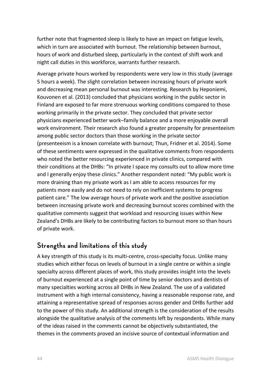further note that fragmented sleep is likely to have an impact on fatigue levels, which in turn are associated with burnout. The relationship between burnout, hours of work and disturbed sleep, particularly in the context of shift work and night call duties in this workforce, warrants further research.

Average private hours worked by respondents were very low in this study (average 5 hours a week). The slight correlation between increasing hours of private work and decreasing mean personal burnout was interesting. Research by Heponiemi, Kouvonen et al. (2013) concluded that physicians working in the public sector in Finland are exposed to far more strenuous working conditions compared to those working primarily in the private sector. They concluded that private sector physicians experienced better work–family balance and a more enjoyable overall work environment. Their research also found a greater propensity for presenteeism among public sector doctors than those working in the private sector (presenteeism is a known correlate with burnout; Thun, Fridner et al. 2014). Some of these sentiments were expressed in the qualitative comments from respondents who noted the better resourcing experienced in private clinics, compared with their conditions at the DHBs: "In private I space my consults out to allow more time and I generally enjoy these clinics." Another respondent noted: "My public work is more draining than my private work as I am able to access resources for my patients more easily and do not need to rely on inefficient systems to progress patient care." The low average hours of private work and the positive association between increasing private work and decreasing burnout scores combined with the qualitative comments suggest that workload and resourcing issues within New Zealand's DHBs are likely to be contributing factors to burnout more so than hours of private work.

#### **Strengths and limitations of this study**

A key strength of this study is its multi‐centre, cross‐specialty focus. Unlike many studies which either focus on levels of burnout in a single centre or within a single specialty across different places of work, this study provides insight into the levels of burnout experienced at a single point of time by senior doctors and dentists of many specialties working across all DHBs in New Zealand. The use of a validated instrument with a high internal consistency, having a reasonable response rate, and attaining a representative spread of responses across gender and DHBs further add to the power of this study. An additional strength is the consideration of the results alongside the qualitative analysis of the comments left by respondents. While many of the ideas raised in the comments cannot be objectively substantiated, the themes in the comments proved an incisive source of contextual information and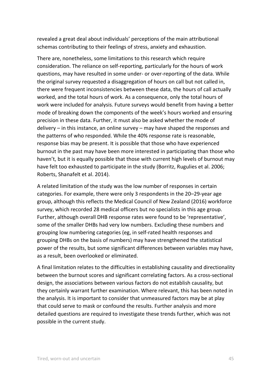revealed a great deal about individuals' perceptions of the main attributional schemas contributing to their feelings of stress, anxiety and exhaustion.

There are, nonetheless, some limitations to this research which require consideration. The reliance on self‐reporting, particularly for the hours of work questions, may have resulted in some under‐ or over‐reporting of the data. While the original survey requested a disaggregation of hours on call but not called in, there were frequent inconsistencies between these data, the hours of call actually worked, and the total hours of work. As a consequence, only the total hours of work were included for analysis. Future surveys would benefit from having a better mode of breaking down the components of the week's hours worked and ensuring precision in these data. Further, it must also be asked whether the mode of delivery – in this instance, an online survey – may have shaped the responses and the patterns of who responded. While the 40% response rate is reasonable, response bias may be present. It is possible that those who have experienced burnout in the past may have been more interested in participating than those who haven't, but it is equally possible that those with current high levels of burnout may have felt too exhausted to participate in the study (Borritz, Rugulies et al. 2006; Roberts, Shanafelt et al. 2014).

A related limitation of the study was the low number of responses in certain categories. For example, there were only 3 respondents in the 20–29‐year age group, although this reflects the Medical Council of New Zealand (2016) workforce survey, which recorded 28 medical officers but no specialists in this age group. Further, although overall DHB response rates were found to be 'representative', some of the smaller DHBs had very low numbers. Excluding these numbers and grouping low numbering categories (eg, in self‐rated health responses and grouping DHBs on the basis of numbers) may have strengthened the statistical power of the results, but some significant differences between variables may have, as a result, been overlooked or eliminated.

A final limitation relates to the difficulties in establishing causality and directionality between the burnout scores and significant correlating factors. As a cross-sectional design, the associations between various factors do not establish causality, but they certainly warrant further examination. Where relevant, this has been noted in the analysis. It is important to consider that unmeasured factors may be at play that could serve to mask or confound the results. Further analysis and more detailed questions are required to investigate these trends further, which was not possible in the current study.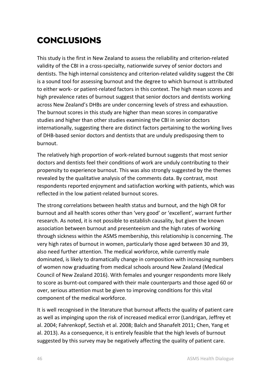# Conclusions

This study is the first in New Zealand to assess the reliability and criterion‐related validity of the CBI in a cross‐specialty, nationwide survey of senior doctors and dentists. The high internal consistency and criterion‐related validity suggest the CBI is a sound tool for assessing burnout and the degree to which burnout is attributed to either work‐ or patient‐related factors in this context. The high mean scores and high prevalence rates of burnout suggest that senior doctors and dentists working across New Zealand's DHBs are under concerning levels of stress and exhaustion. The burnout scores in this study are higher than mean scores in comparative studies and higher than other studies examining the CBI in senior doctors internationally, suggesting there are distinct factors pertaining to the working lives of DHB‐based senior doctors and dentists that are unduly predisposing them to burnout.

The relatively high proportion of work‐related burnout suggests that most senior doctors and dentists feel their conditions of work are unduly contributing to their propensity to experience burnout. This was also strongly suggested by the themes revealed by the qualitative analysis of the comments data. By contrast, most respondents reported enjoyment and satisfaction working with patients, which was reflected in the low patient‐related burnout scores.

The strong correlations between health status and burnout, and the high OR for burnout and all health scores other than 'very good' or 'excellent', warrant further research. As noted, it is not possible to establish causality, but given the known association between burnout and presenteeism and the high rates of working through sickness within the ASMS membership, this relationship is concerning. The very high rates of burnout in women, particularly those aged between 30 and 39, also need further attention. The medical workforce, while currently male dominated, is likely to dramatically change in composition with increasing numbers of women now graduating from medical schools around New Zealand (Medical Council of New Zealand 2016). With females and younger respondents more likely to score as burnt‐out compared with their male counterparts and those aged 60 or over, serious attention must be given to improving conditions for this vital component of the medical workforce.

It is well recognised in the literature that burnout affects the quality of patient care as well as impinging upon the risk of increased medical error (Landrigan, Jeffrey et al. 2004; Fahrenkopf, Sectish et al. 2008; Balch and Shanafelt 2011; Chen, Yang et al. 2013). As a consequence, it is entirely feasible that the high levels of burnout suggested by this survey may be negatively affecting the quality of patient care.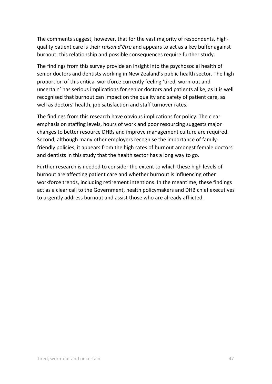The comments suggest, however, that for the vast majority of respondents, highquality patient care is their *raison d'être* and appears to act as a key buffer against burnout; this relationship and possible consequences require further study.

The findings from this survey provide an insight into the psychosocial health of senior doctors and dentists working in New Zealand's public health sector. The high proportion of this critical workforce currently feeling 'tired, worn‐out and uncertain' has serious implications for senior doctors and patients alike, as it is well recognised that burnout can impact on the quality and safety of patient care, as well as doctors' health, job satisfaction and staff turnover rates.

The findings from this research have obvious implications for policy. The clear emphasis on staffing levels, hours of work and poor resourcing suggests major changes to better resource DHBs and improve management culture are required. Second, although many other employers recognise the importance of family‐ friendly policies, it appears from the high rates of burnout amongst female doctors and dentists in this study that the health sector has a long way to go.

Further research is needed to consider the extent to which these high levels of burnout are affecting patient care and whether burnout is influencing other workforce trends, including retirement intentions. In the meantime, these findings act as a clear call to the Government, health policymakers and DHB chief executives to urgently address burnout and assist those who are already afflicted.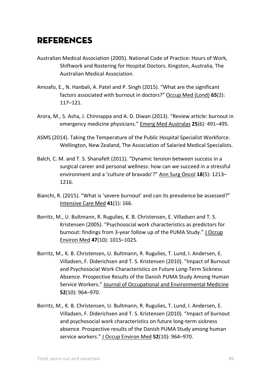# **REFERENCES**

- Australian Medical Association (2005). National Code of Practice: Hours of Work, Shiftwork and Rostering for Hospital Doctors. Kingston, Australia, The Australian Medical Association.
- Amoafo, E., N. Hanbali, A. Patel and P. Singh (2015). "What are the significant factors associated with burnout in doctors?" Occup Med (Lond) **65**(2): 117–121.
- Arora, M., S. Asha, J. Chinnappa and A. D. Diwan (2013). "Review article: burnout in emergency medicine physicians." Emerg Med Australas **25**(6): 491–495.
- ASMS (2014). Taking the Temperature of the Public Hospital Specialist Workforce. Wellington, New Zealand, The Association of Salaried Medical Specialists.
- Balch, C. M. and T. S. Shanafelt (2011). "Dynamic tension between success in a surgical career and personal wellness: how can we succeed in a stressful environment and a 'culture of bravado'?" Ann Surg Oncol **18**(5): 1213– 1216.
- Bianchi, R. (2015). "What is 'severe burnout' and can its prevalence be assessed?" Intensive Care Med **41**(1): 166.
- Borritz, M., U. Bultmann, R. Rugulies, K. B. Christensen, E. Villadsen and T. S. Kristensen (2005). "Psychosocial work characteristics as predictors for burnout: findings from 3‐year follow up of the PUMA Study." J Occup Environ Med **47**(10): 1015–1025.
- Borritz, M., K. B. Christensen, U. Bultmann, R. Rugulies, T. Lund, I. Andersen, E. Villadsen, F. Diderichsen and T. S. Kristensen (2010). "Impact of Burnout and Psychosocial Work Characteristics on Future Long‐Term Sickness Absence. Prospective Results of the Danish PUMA Study Among Human Service Workers." Journal of Occupational and Environmental Medicine **52**(10): 964–970.
- Borritz, M., K. B. Christensen, U. Bultmann, R. Rugulies, T. Lund, I. Andersen, E. Villadsen, F. Diderichsen and T. S. Kristensen (2010). "Impact of burnout and psychosocial work characteristics on future long‐term sickness absence. Prospective results of the Danish PUMA Study among human service workers." J Occup Environ Med **52**(10): 964–970.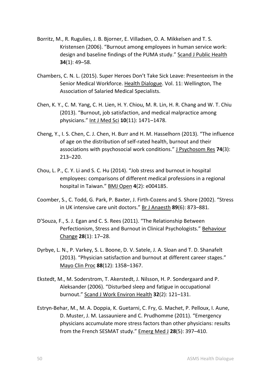- Borritz, M., R. Rugulies, J. B. Bjorner, E. Villadsen, O. A. Mikkelsen and T. S. Kristensen (2006). "Burnout among employees in human service work: design and baseline findings of the PUMA study." Scand J Public Health **34**(1): 49–58.
- Chambers, C. N. L. (2015). Super Heroes Don't Take Sick Leave: Presenteeism in the Senior Medical Workforce. Health Dialogue. Vol. 11: Wellington, The Association of Salaried Medical Specialists.
- Chen, K. Y., C. M. Yang, C. H. Lien, H. Y. Chiou, M. R. Lin, H. R. Chang and W. T. Chiu (2013). "Burnout, job satisfaction, and medical malpractice among physicians." Int J Med Sci **10**(11): 1471–1478.
- Cheng, Y., I. S. Chen, C. J. Chen, H. Burr and H. M. Hasselhorn (2013). "The influence of age on the distribution of self‐rated health, burnout and their associations with psychosocial work conditions." J Psychosom Res **74**(3): 213–220.
- Chou, L. P., C. Y. Li and S. C. Hu (2014). "Job stress and burnout in hospital employees: comparisons of different medical professions in a regional hospital in Taiwan." BMJ Open **4**(2): e004185.
- Coomber, S., C. Todd, G. Park, P. Baxter, J. Firth‐Cozens and S. Shore (2002). "Stress in UK intensive care unit doctors." Br J Anaesth **89**(6): 873–881.
- D'Souza, F., S. J. Egan and C. S. Rees (2011). "The Relationship Between Perfectionism, Stress and Burnout in Clinical Psychologists." Behaviour Change **28**(1): 17–28.
- Dyrbye, L. N., P. Varkey, S. L. Boone, D. V. Satele, J. A. Sloan and T. D. Shanafelt (2013). "Physician satisfaction and burnout at different career stages." Mayo Clin Proc **88**(12): 1358–1367.
- Ekstedt, M., M. Soderstrom, T. Akerstedt, J. Nilsson, H. P. Sondergaard and P. Aleksander (2006). "Disturbed sleep and fatigue in occupational burnout." Scand J Work Environ Health **32**(2): 121–131.
- Estryn‐Behar, M., M. A. Doppia, K. Guetarni, C. Fry, G. Machet, P. Pelloux, I. Aune, D. Muster, J. M. Lassauniere and C. Prudhomme (2011). "Emergency physicians accumulate more stress factors than other physicians: results from the French SESMAT study." Emerg Med J **28**(5): 397–410.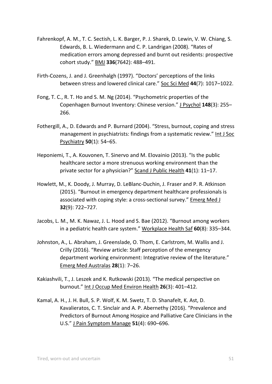- Fahrenkopf, A. M., T. C. Sectish, L. K. Barger, P. J. Sharek, D. Lewin, V. W. Chiang, S. Edwards, B. L. Wiedermann and C. P. Landrigan (2008). "Rates of medication errors among depressed and burnt out residents: prospective cohort study." BMJ **336**(7642): 488–491.
- Firth‐Cozens, J. and J. Greenhalgh (1997). "Doctors' perceptions of the links between stress and lowered clinical care." Soc Sci Med **44**(7): 1017–1022.
- Fong, T. C., R. T. Ho and S. M. Ng (2014). "Psychometric properties of the Copenhagen Burnout Inventory: Chinese version." J Psychol **148**(3): 255– 266.
- Fothergill, A., D. Edwards and P. Burnard (2004). "Stress, burnout, coping and stress management in psychiatrists: findings from a systematic review." Int J Soc Psychiatry **50**(1): 54–65.
- Heponiemi, T., A. Kouvonen, T. Sinervo and M. Elovainio (2013). "Is the public healthcare sector a more strenuous working environment than the private sector for a physician?" Scand J Public Health **41**(1): 11–17.
- Howlett, M., K. Doody, J. Murray, D. LeBlanc‐Duchin, J. Fraser and P. R. Atkinson (2015). "Burnout in emergency department healthcare professionals is associated with coping style: a cross‐sectional survey." Emerg Med J **32**(9): 722–727.
- Jacobs, L. M., M. K. Nawaz, J. L. Hood and S. Bae (2012). "Burnout among workers in a pediatric health care system." Workplace Health Saf **60**(8): 335–344.
- Johnston, A., L. Abraham, J. Greenslade, O. Thom, E. Carlstrom, M. Wallis and J. Crilly (2016). "Review article: Staff perception of the emergency department working environment: Integrative review of the literature." Emerg Med Australas **28**(1): 7–26.
- Kakiashvili, T., J. Leszek and K. Rutkowski (2013). "The medical perspective on burnout." Int J Occup Med Environ Health **26**(3): 401–412.
- Kamal, A. H., J. H. Bull, S. P. Wolf, K. M. Swetz, T. D. Shanafelt, K. Ast, D. Kavalieratos, C. T. Sinclair and A. P. Abernethy (2016). "Prevalence and Predictors of Burnout Among Hospice and Palliative Care Clinicians in the U.S." J Pain Symptom Manage **51**(4): 690–696.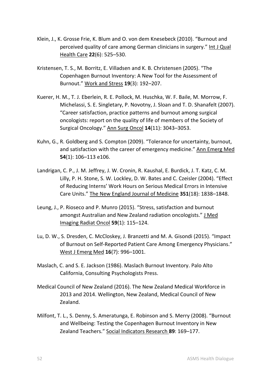- Klein, J., K. Grosse Frie, K. Blum and O. von dem Knesebeck (2010). "Burnout and perceived quality of care among German clinicians in surgery." Int J Qual Health Care **22**(6): 525–530.
- Kristensen, T. S., M. Borritz, E. Villadsen and K. B. Christensen (2005). "The Copenhagen Burnout Inventory: A New Tool for the Assessment of Burnout." Work and Stress **19**(3): 192–207.
- Kuerer, H. M., T. J. Eberlein, R. E. Pollock, M. Huschka, W. F. Baile, M. Morrow, F. Michelassi, S. E. Singletary, P. Novotny, J. Sloan and T. D. Shanafelt (2007). "Career satisfaction, practice patterns and burnout among surgical oncologists: report on the quality of life of members of the Society of Surgical Oncology." Ann Surg Oncol **14**(11): 3043–3053.
- Kuhn, G., R. Goldberg and S. Compton (2009). "Tolerance for uncertainty, burnout, and satisfaction with the career of emergency medicine." Ann Emerg Med **54**(1): 106–113 e106.
- Landrigan, C. P., J. M. Jeffrey, J. W. Cronin, R. Kaushal, E. Burdick, J. T. Katz, C. M. Lilly, P. H. Stone, S. W. Lockley, D. W. Bates and C. Czeisler (2004). "Effect of Reducing Interns' Work Hours on Serious Medical Errors in Intensive Care Units." The New England Journal of Medicine **351**(18): 1838–1848.
- Leung, J., P. Rioseco and P. Munro (2015). "Stress, satisfaction and burnout amongst Australian and New Zealand radiation oncologists." J Med Imaging Radiat Oncol **59**(1): 115–124.
- Lu, D. W., S. Dresden, C. McCloskey, J. Branzetti and M. A. Gisondi (2015). "Impact of Burnout on Self‐Reported Patient Care Among Emergency Physicians." West J Emerg Med **16**(7): 996–1001.
- Maslach, C. and S. E. Jackson (1986). Maslach Burnout Inventory. Palo Alto California, Consulting Psychologists Press.
- Medical Council of New Zealand (2016). The New Zealand Medical Workforce in 2013 and 2014. Wellington, New Zealand, Medical Council of New Zealand.
- Milfont, T. L., S. Denny, S. Ameratunga, E. Robinson and S. Merry (2008). "Burnout and Wellbeing: Testing the Copenhagen Burnout Inventory in New Zealand Teachers." Social Indicators Research **89**: 169–177.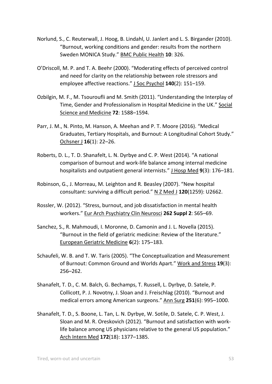- Norlund, S., C. Reuterwall, J. Hoog, B. Lindahl, U. Janlert and L. S. Birgander (2010). "Burnout, working conditions and gender: results from the northern Sweden MONICA Study." BMC Public Health **10**: 326.
- O'Driscoll, M. P. and T. A. Beehr (2000). "Moderating effects of perceived control and need for clarity on the relationship between role stressors and employee affective reactions." J Soc Psychol **140**(2): 151–159.
- Ozbilgin, M. F., M. Tsouroufli and M. Smith (2011). "Understanding the Interplay of Time, Gender and Professionalism in Hospital Medicine in the UK." Social Science and Medicine **72**: 1588–1594.
- Parr, J. M., N. Pinto, M. Hanson, A. Meehan and P. T. Moore (2016). "Medical Graduates, Tertiary Hospitals, and Burnout: A Longitudinal Cohort Study." Ochsner J **16**(1): 22–26.
- Roberts, D. L., T. D. Shanafelt, L. N. Dyrbye and C. P. West (2014). "A national comparison of burnout and work‐life balance among internal medicine hospitalists and outpatient general internists." J Hosp Med **9**(3): 176–181.
- Robinson, G., J. Morreau, M. Leighton and R. Beasley (2007). "New hospital consultant: surviving a difficult period." N Z Med J **120**(1259): U2662.
- Rossler, W. (2012). "Stress, burnout, and job dissatisfaction in mental health workers." Eur Arch Psychiatry Clin Neurosci **262 Suppl 2**: S65–69.
- Sanchez, S., R. Mahmoudi, I. Moronne, D. Camonin and J. L. Novella (2015). "Burnout in the field of geriatric medicine: Review of the literature." European Geriatric Medicine **6**(2): 175–183.
- Schaufeli, W. B. and T. W. Taris (2005). "The Conceptualization and Measurement of Burnout: Common Ground and Worlds Apart." Work and Stress **19**(3): 256–262.
- Shanafelt, T. D., C. M. Balch, G. Bechamps, T. Russell, L. Dyrbye, D. Satele, P. Collicott, P. J. Novotny, J. Sloan and J. Freischlag (2010). "Burnout and medical errors among American surgeons." Ann Surg **251**(6): 995–1000.
- Shanafelt, T. D., S. Boone, L. Tan, L. N. Dyrbye, W. Sotile, D. Satele, C. P. West, J. Sloan and M. R. Oreskovich (2012). "Burnout and satisfaction with work‐ life balance among US physicians relative to the general US population." Arch Intern Med **172**(18): 1377–1385.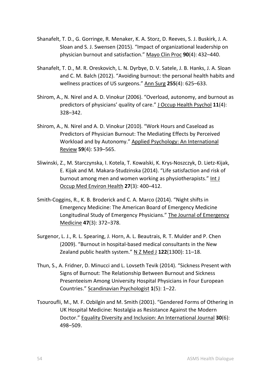- Shanafelt, T. D., G. Gorringe, R. Menaker, K. A. Storz, D. Reeves, S. J. Buskirk, J. A. Sloan and S. J. Swensen (2015). "Impact of organizational leadership on physician burnout and satisfaction." Mayo Clin Proc **90**(4): 432–440.
- Shanafelt, T. D., M. R. Oreskovich, L. N. Dyrbye, D. V. Satele, J. B. Hanks, J. A. Sloan and C. M. Balch (2012). "Avoiding burnout: the personal health habits and wellness practices of US surgeons." Ann Surg **255**(4): 625–633.
- Shirom, A., N. Nirel and A. D. Vinokur (2006). "Overload, autonomy, and burnout as predictors of physicians' quality of care." J Occup Health Psychol **11**(4): 328–342.
- Shirom, A., N. Nirel and A. D. Vinokur (2010). "Work Hours and Caseload as Predictors of Physician Burnout: The Mediating Effects by Perceived Workload and by Autonomy." Applied Psychology: An International Review **59**(4): 539–565.
- Sliwinski, Z., M. Starczynska, I. Kotela, T. Kowalski, K. Krys‐Noszczyk, D. Lietz‐Kijak, E. Kijak and M. Makara‐Studzinska (2014). "Life satisfaction and risk of burnout among men and women working as physiotherapists." Int J Occup Med Environ Health **27**(3): 400–412.
- Smith-Coggins, R., K. B. Broderick and C. A. Marco (2014). "Night shifts in Emergency Medicine: The American Board of Emergency Medicine Longitudinal Study of Emergency Physicians." The Journal of Emergency Medicine **47**(3): 372–378.
- Surgenor, L. J., R. L. Spearing, J. Horn, A. L. Beautrais, R. T. Mulder and P. Chen (2009). "Burnout in hospital‐based medical consultants in the New Zealand public health system." N Z Med J **122**(1300): 11–18.
- Thun, S., A. Fridner, D. Minucci and L. Lovseth Tevik (2014). "Sickness Present with Signs of Burnout: The Relationship Between Burnout and Sickness Presenteeism Among University Hospital Physicians in Four European Countries." Scandinavian Psychologist **1**(5): 1–22.
- Tsouroufli, M., M. F. Ozbilgin and M. Smith (2001). "Gendered Forms of Othering in UK Hospital Medicine: Nostalgia as Resistance Against the Modern Doctor." Equality Diversity and Inclusion: An International Journal **30**(6): 498–509.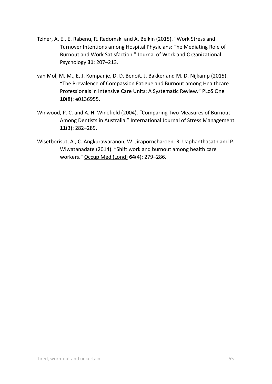- Tziner, A. E., E. Rabenu, R. Radomski and A. Belkin (2015). "Work Stress and Turnover Intentions among Hospital Physicians: The Mediating Role of Burnout and Work Satisfaction." Journal of Work and Organizational Psychology **31**: 207–213.
- van Mol, M. M., E. J. Kompanje, D. D. Benoit, J. Bakker and M. D. Nijkamp (2015). "The Prevalence of Compassion Fatigue and Burnout among Healthcare Professionals in Intensive Care Units: A Systematic Review." PLoS One **10**(8): e0136955.
- Winwood, P. C. and A. H. Winefield (2004). "Comparing Two Measures of Burnout Among Dentists in Australia." International Journal of Stress Management **11**(3): 282–289.
- Wisetborisut, A., C. Angkurawaranon, W. Jiraporncharoen, R. Uaphanthasath and P. Wiwatanadate (2014). "Shift work and burnout among health care workers." Occup Med (Lond) **64**(4): 279–286.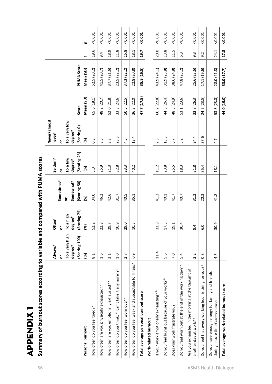|                         | $\mathbf 0$                           |  |
|-------------------------|---------------------------------------|--|
|                         | mout scores according to variable and |  |
|                         |                                       |  |
|                         |                                       |  |
|                         |                                       |  |
|                         |                                       |  |
|                         |                                       |  |
|                         |                                       |  |
|                         |                                       |  |
|                         |                                       |  |
|                         |                                       |  |
|                         |                                       |  |
|                         |                                       |  |
|                         |                                       |  |
|                         |                                       |  |
| ı.                      |                                       |  |
|                         |                                       |  |
| ノームニスレス                 | ٦                                     |  |
|                         |                                       |  |
|                         |                                       |  |
| I                       |                                       |  |
|                         |                                       |  |
| $\overline{\mathbf{r}}$ |                                       |  |
|                         | Summary of b                          |  |

|  | $\ddot{\phantom{a}}$ |  |
|--|----------------------|--|
|  |                      |  |
|  |                      |  |
|  |                      |  |
|  |                      |  |
|  |                      |  |
|  |                      |  |

|                      | ;<br>;<br>;                                                            |
|----------------------|------------------------------------------------------------------------|
|                      |                                                                        |
| $\ddot{\phantom{a}}$ |                                                                        |
|                      |                                                                        |
|                      |                                                                        |
|                      |                                                                        |
|                      |                                                                        |
|                      |                                                                        |
|                      |                                                                        |
|                      |                                                                        |
|                      |                                                                        |
|                      |                                                                        |
|                      |                                                                        |
|                      |                                                                        |
|                      |                                                                        |
|                      |                                                                        |
|                      |                                                                        |
|                      |                                                                        |
|                      |                                                                        |
|                      |                                                                        |
|                      |                                                                        |
|                      |                                                                        |
|                      |                                                                        |
|                      |                                                                        |
|                      |                                                                        |
|                      |                                                                        |
|                      |                                                                        |
|                      |                                                                        |
|                      |                                                                        |
|                      |                                                                        |
|                      |                                                                        |
|                      |                                                                        |
|                      |                                                                        |
|                      |                                                                        |
|                      |                                                                        |
|                      |                                                                        |
|                      |                                                                        |
|                      |                                                                        |
|                      |                                                                        |
|                      |                                                                        |
|                      |                                                                        |
|                      |                                                                        |
|                      |                                                                        |
|                      |                                                                        |
|                      |                                                                        |
|                      |                                                                        |
|                      |                                                                        |
|                      |                                                                        |
|                      |                                                                        |
|                      |                                                                        |
|                      |                                                                        |
|                      |                                                                        |
|                      |                                                                        |
|                      |                                                                        |
|                      |                                                                        |
|                      |                                                                        |
|                      |                                                                        |
|                      |                                                                        |
|                      |                                                                        |
|                      |                                                                        |
|                      | Summary of burnout scores according to variable and compared with PUMA |

|                                                                                              | Always <sup>a</sup>            | Often <sup>a</sup>                    | Sometimes <sup>a</sup>     | Seldom <sup>a</sup>      | Never/almost<br>neverª        |             |                   |                  |       |
|----------------------------------------------------------------------------------------------|--------------------------------|---------------------------------------|----------------------------|--------------------------|-------------------------------|-------------|-------------------|------------------|-------|
|                                                                                              | To a very high<br>degreeb<br>ŏ | To a high<br>degree <sup>b</sup><br>ŏ | Somewhat <sup>b</sup><br>ŏ | To a low<br>degreeb<br>ŏ | To a very low<br>degreeb<br>ŏ |             |                   |                  |       |
|                                                                                              | (Scoring 100)                  | (Scoring 75)                          | (Scoring 50)               | (Scoring 25)             | (Scoring 0)                   | Score       | <b>PUMA Score</b> |                  |       |
| Personal burnout                                                                             | 8                              | $\mathcal{E}$                         | 3                          | $\mathcal{E}$            | 8                             | Mean (SD)   | Mean (SD)         | پ                | ء     |
| How often do you feel tired? <sup>ª</sup>                                                    | $\overline{8.1}$               | 52.2                                  | 34.0                       | 5.3                      | $0.\overline{3}$              | 65.6 (18.1) | 52.5 (20.2)       | 19.6             | 0.001 |
| How often are you physically exhausted? <sup>ª</sup>                                         | 1.6                            | 22.8                                  | 46.2                       | 25.9                     | 3.5                           | 48.2 (20.7) | 41.5 (20.7)       | 9.4              | 0.001 |
| How often are you emotionally exhausted? <sup>a</sup>                                        | 3.1                            | 29.7                                  | 42.6                       | 21.3                     | 3.3                           | 52.0 (21.8) | 37.7 (21.6)       | 18.9             | 0.001 |
| How often do you think: "I can't take it anymore"?                                           | 1.0                            | 10.9                                  | 31.7                       | 32.8                     | 23.5                          | 33.3 (24.6) | 23.5 (22.2)       | 11.8             | 0.001 |
| How often do you feel worn out? <sup>a</sup>                                                 | 2.7                            | 29.0                                  | 40.5                       | 23.3                     | 4.5                           | 50.5 (22.5) | 37.3(22.2)        | 16.8             | 0.001 |
| How often do you feel weak and susceptible to illness?                                       | $\overline{0}$ .               | 10.5                                  | 35.1                       | 40.2                     | 13.4                          | 36.3 (22.0) | 22.8 (20.8)       | 18.1             | 0.001 |
| Total average personal burnout score                                                         |                                |                                       |                            |                          |                               | 47.7 (17.5) | 35.9 (16.5)       | 19.7             | 0.001 |
| Work-related burnout                                                                         |                                |                                       |                            |                          |                               |             |                   |                  |       |
| Is your work emotionally exhausting? b                                                       | 11.4                           | 33.8                                  | 41.2                       | 11.2                     | 2.3                           | 60.2 (22.8) | 43.9 (24.1)       | 20.0             | 0.001 |
| Do you feel burnt out because of your work? <sup>b</sup>                                     | 5.6                            | 17.3                                  | 40.1                       | 23.8                     | 13.3                          | 44.5 (26.4) | 31.9 (25.8)       | 13.8             | 0.001 |
| Does your work frustrate you? <sup>b</sup>                                                   | 7.0                            | 19.1                                  | 41.7                       | 25.5                     | 6.7                           | 48.5 (24.9) | 38.6 (24.8)       | 11.5             | 0.001 |
| Do you feel worn out at the end of the working day? <sup>ª</sup>                             | 5.4                            | 30.4                                  | 40.7                       | 18.3                     | 5.2                           | 53.1 (23.6) | 47.8 (25.2)       | $6.\overline{3}$ | 0.001 |
| Are you exhausted in the morning at the thought of<br>another day at work? <sup>a</sup>      | 3.2                            | 4<br>c                                | 31.2                       | 31.8                     | 24.4                          | 33.8 (26.3) | 25.6 (23.6)       | $9.\overline{3}$ | 0.001 |
| Do you feel that every working hour is tiring for you? <sup>ª</sup>                          | $0.\overline{8}$               | Q<br>6                                | 20.3                       | 35.4                     | 37.6                          | 24.2 (23.5) | 17.1 (19.6)       | 9.2              | 0.001 |
| Do you have enough energy for family and friends<br>during leisure time? a (inverse scoring) | 4.5                            | 30.9                                  | 41.8                       | 18.1                     | 4.7                           | 53.3 (23.0) | 28.0 (21.8)       | 24.1             | 0.001 |
| Total average work-related burnout score                                                     |                                |                                       |                            |                          |                               | 44.0 (19.0) | 33.0 (17.7)       | 17.8             | 0.001 |